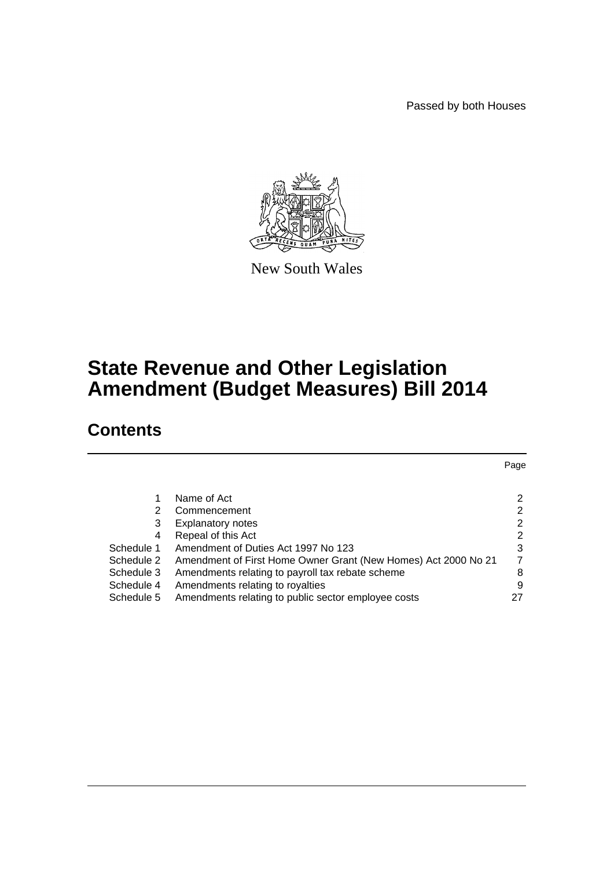Passed by both Houses



New South Wales

# **State Revenue and Other Legislation Amendment (Budget Measures) Bill 2014**

# **Contents**

|                                                                | Page |
|----------------------------------------------------------------|------|
|                                                                |      |
| Name of Act                                                    | 2    |
| Commencement                                                   | 2    |
| <b>Explanatory notes</b>                                       | 2    |
| Repeal of this Act                                             | 2    |
| Amendment of Duties Act 1997 No 123                            | 3    |
| Amendment of First Home Owner Grant (New Homes) Act 2000 No 21 | 7    |
| Amendments relating to payroll tax rebate scheme               | 8    |
| Amendments relating to royalties                               | 9    |
| Amendments relating to public sector employee costs            | 27   |
|                                                                |      |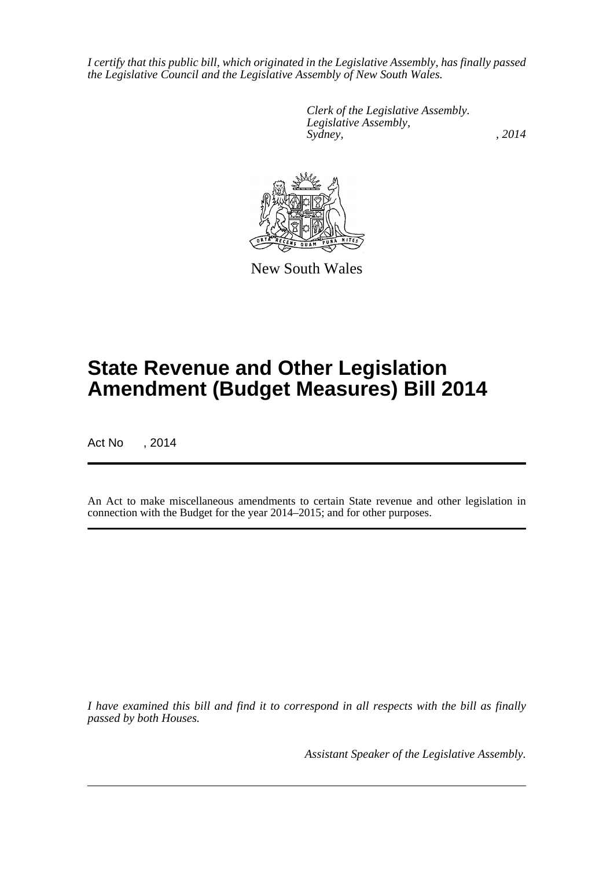*I certify that this public bill, which originated in the Legislative Assembly, has finally passed the Legislative Council and the Legislative Assembly of New South Wales.*

> *Clerk of the Legislative Assembly. Legislative Assembly, Sydney,* , 2014



New South Wales

# **State Revenue and Other Legislation Amendment (Budget Measures) Bill 2014**

Act No , 2014

An Act to make miscellaneous amendments to certain State revenue and other legislation in connection with the Budget for the year 2014–2015; and for other purposes.

*I have examined this bill and find it to correspond in all respects with the bill as finally passed by both Houses.*

*Assistant Speaker of the Legislative Assembly.*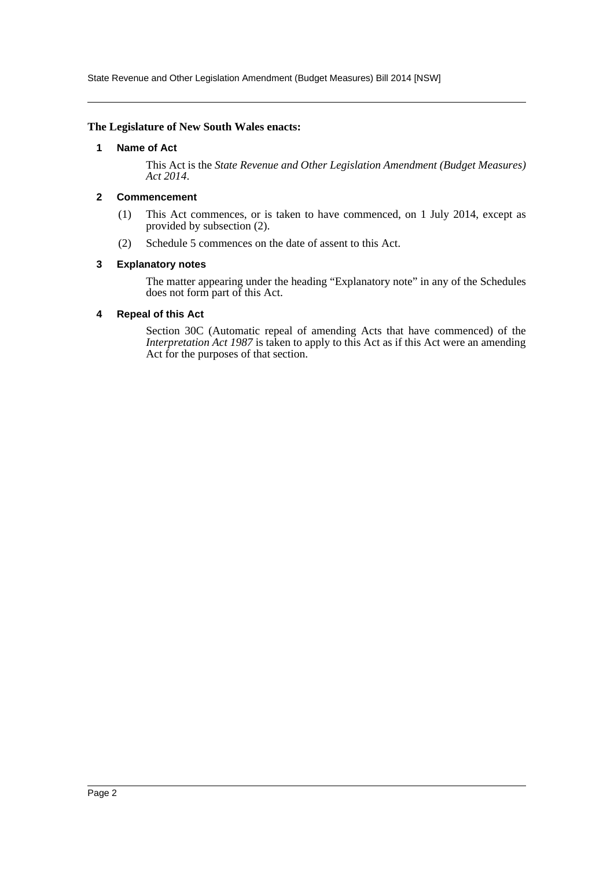State Revenue and Other Legislation Amendment (Budget Measures) Bill 2014 [NSW]

#### <span id="page-2-0"></span>**The Legislature of New South Wales enacts:**

#### **1 Name of Act**

This Act is the *State Revenue and Other Legislation Amendment (Budget Measures) Act 2014*.

#### <span id="page-2-1"></span>**2 Commencement**

- (1) This Act commences, or is taken to have commenced, on 1 July 2014, except as provided by subsection (2).
- (2) Schedule 5 commences on the date of assent to this Act.

#### <span id="page-2-2"></span>**3 Explanatory notes**

The matter appearing under the heading "Explanatory note" in any of the Schedules does not form part of this Act.

#### <span id="page-2-3"></span>**4 Repeal of this Act**

Section 30C (Automatic repeal of amending Acts that have commenced) of the *Interpretation Act 1987* is taken to apply to this Act as if this Act were an amending Act for the purposes of that section.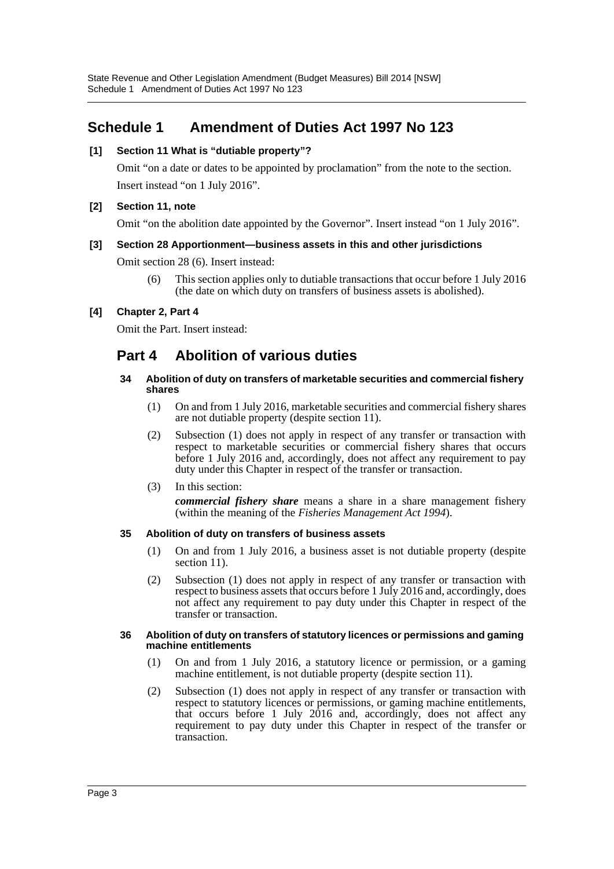## <span id="page-3-0"></span>**Schedule 1 Amendment of Duties Act 1997 No 123**

#### **[1] Section 11 What is "dutiable property"?**

Omit "on a date or dates to be appointed by proclamation" from the note to the section. Insert instead "on 1 July 2016".

#### **[2] Section 11, note**

Omit "on the abolition date appointed by the Governor". Insert instead "on 1 July 2016".

#### **[3] Section 28 Apportionment—business assets in this and other jurisdictions**

Omit section 28 (6). Insert instead:

(6) This section applies only to dutiable transactions that occur before 1 July 2016 (the date on which duty on transfers of business assets is abolished).

#### **[4] Chapter 2, Part 4**

Omit the Part. Insert instead:

## **Part 4 Abolition of various duties**

#### **34 Abolition of duty on transfers of marketable securities and commercial fishery shares**

- (1) On and from 1 July 2016, marketable securities and commercial fishery shares are not dutiable property (despite section 11).
- (2) Subsection (1) does not apply in respect of any transfer or transaction with respect to marketable securities or commercial fishery shares that occurs before 1 July 2016 and, accordingly, does not affect any requirement to pay duty under this Chapter in respect of the transfer or transaction.
- (3) In this section: *commercial fishery share* means a share in a share management fishery (within the meaning of the *Fisheries Management Act 1994*).

#### **35 Abolition of duty on transfers of business assets**

- (1) On and from 1 July 2016, a business asset is not dutiable property (despite section 11).
- (2) Subsection (1) does not apply in respect of any transfer or transaction with respect to business assets that occurs before 1 July 2016 and, accordingly, does not affect any requirement to pay duty under this Chapter in respect of the transfer or transaction.

#### **36 Abolition of duty on transfers of statutory licences or permissions and gaming machine entitlements**

- (1) On and from 1 July 2016, a statutory licence or permission, or a gaming machine entitlement, is not dutiable property (despite section 11).
- (2) Subsection (1) does not apply in respect of any transfer or transaction with respect to statutory licences or permissions, or gaming machine entitlements, that occurs before 1 July 2016 and, accordingly, does not affect any requirement to pay duty under this Chapter in respect of the transfer or transaction.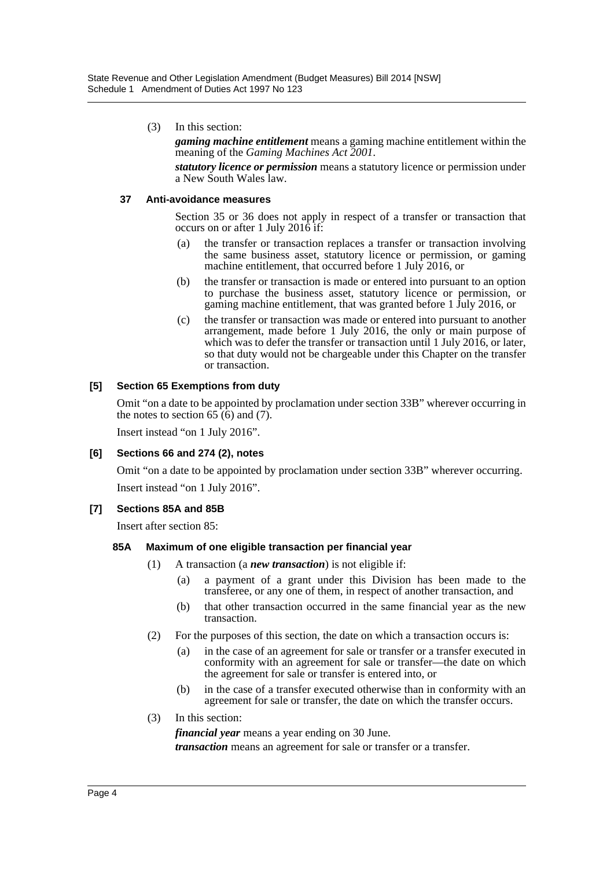(3) In this section:

*gaming machine entitlement* means a gaming machine entitlement within the meaning of the *Gaming Machines Act 2001*.

*statutory licence or permission* means a statutory licence or permission under a New South Wales law.

#### **37 Anti-avoidance measures**

Section 35 or 36 does not apply in respect of a transfer or transaction that occurs on or after 1 July 2016 if:

- (a) the transfer or transaction replaces a transfer or transaction involving the same business asset, statutory licence or permission, or gaming machine entitlement, that occurred before 1 July 2016, or
- (b) the transfer or transaction is made or entered into pursuant to an option to purchase the business asset, statutory licence or permission, or gaming machine entitlement, that was granted before 1 July 2016, or
- (c) the transfer or transaction was made or entered into pursuant to another arrangement, made before 1 July 2016, the only or main purpose of which was to defer the transfer or transaction until 1 July  $2016$ , or later, so that duty would not be chargeable under this Chapter on the transfer or transaction.

#### **[5] Section 65 Exemptions from duty**

Omit "on a date to be appointed by proclamation under section 33B" wherever occurring in the notes to section  $65(6)$  and  $(7)$ .

Insert instead "on 1 July 2016".

#### **[6] Sections 66 and 274 (2), notes**

Omit "on a date to be appointed by proclamation under section 33B" wherever occurring. Insert instead "on 1 July 2016".

#### **[7] Sections 85A and 85B**

Insert after section 85:

#### **85A Maximum of one eligible transaction per financial year**

- (1) A transaction (a *new transaction*) is not eligible if:
	- (a) a payment of a grant under this Division has been made to the transferee, or any one of them, in respect of another transaction, and
	- (b) that other transaction occurred in the same financial year as the new transaction.
- (2) For the purposes of this section, the date on which a transaction occurs is:
	- (a) in the case of an agreement for sale or transfer or a transfer executed in conformity with an agreement for sale or transfer—the date on which the agreement for sale or transfer is entered into, or
	- (b) in the case of a transfer executed otherwise than in conformity with an agreement for sale or transfer, the date on which the transfer occurs.
- (3) In this section:

*financial year* means a year ending on 30 June.

*transaction* means an agreement for sale or transfer or a transfer.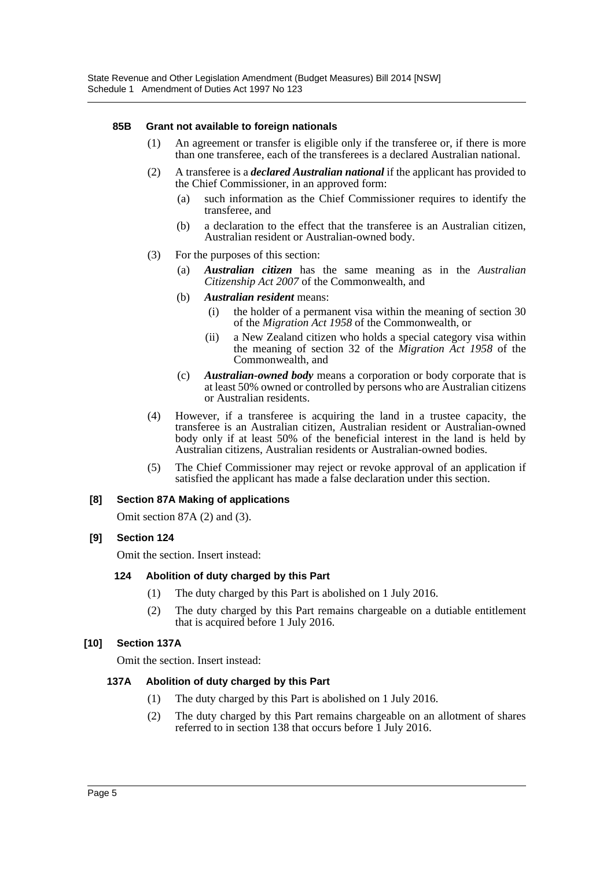#### **85B Grant not available to foreign nationals**

- (1) An agreement or transfer is eligible only if the transferee or, if there is more than one transferee, each of the transferees is a declared Australian national.
- (2) A transferee is a *declared Australian national* if the applicant has provided to the Chief Commissioner, in an approved form:
	- (a) such information as the Chief Commissioner requires to identify the transferee, and
	- (b) a declaration to the effect that the transferee is an Australian citizen, Australian resident or Australian-owned body.
- (3) For the purposes of this section:
	- (a) *Australian citizen* has the same meaning as in the *Australian Citizenship Act 2007* of the Commonwealth, and
	- (b) *Australian resident* means:
		- (i) the holder of a permanent visa within the meaning of section 30 of the *Migration Act 1958* of the Commonwealth, or
		- (ii) a New Zealand citizen who holds a special category visa within the meaning of section 32 of the *Migration Act 1958* of the Commonwealth, and
	- (c) *Australian-owned body* means a corporation or body corporate that is at least 50% owned or controlled by persons who are Australian citizens or Australian residents.
- (4) However, if a transferee is acquiring the land in a trustee capacity, the transferee is an Australian citizen, Australian resident or Australian-owned body only if at least 50% of the beneficial interest in the land is held by Australian citizens, Australian residents or Australian-owned bodies.
- (5) The Chief Commissioner may reject or revoke approval of an application if satisfied the applicant has made a false declaration under this section.

#### **[8] Section 87A Making of applications**

Omit section 87A (2) and (3).

#### **[9] Section 124**

Omit the section. Insert instead:

#### **124 Abolition of duty charged by this Part**

- (1) The duty charged by this Part is abolished on 1 July 2016.
- (2) The duty charged by this Part remains chargeable on a dutiable entitlement that is acquired before 1 July 2016.

#### **[10] Section 137A**

Omit the section. Insert instead:

#### **137A Abolition of duty charged by this Part**

- (1) The duty charged by this Part is abolished on 1 July 2016.
- (2) The duty charged by this Part remains chargeable on an allotment of shares referred to in section 138 that occurs before 1 July 2016.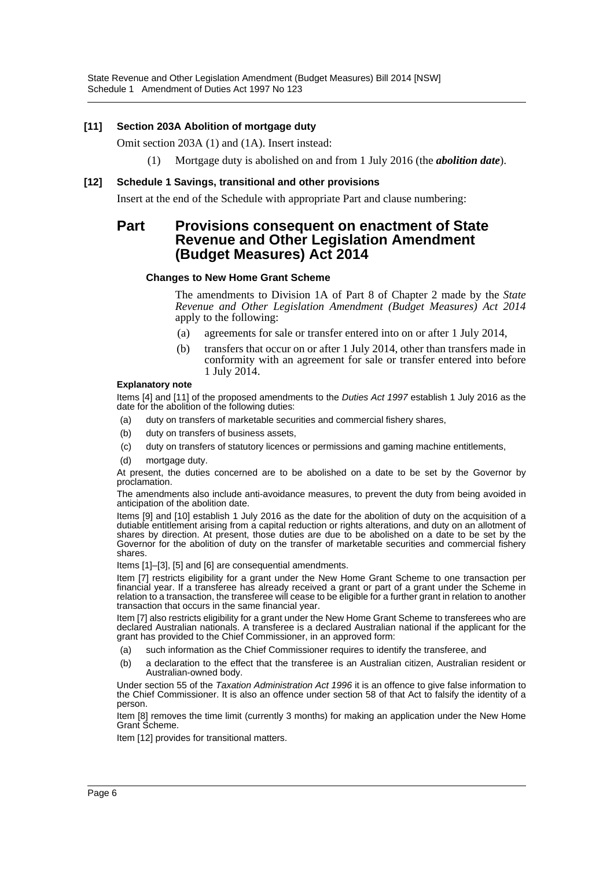State Revenue and Other Legislation Amendment (Budget Measures) Bill 2014 [NSW] Schedule 1 Amendment of Duties Act 1997 No 123

#### **[11] Section 203A Abolition of mortgage duty**

Omit section 203A (1) and (1A). Insert instead:

(1) Mortgage duty is abolished on and from 1 July 2016 (the *abolition date*).

#### **[12] Schedule 1 Savings, transitional and other provisions**

Insert at the end of the Schedule with appropriate Part and clause numbering:

## **Part Provisions consequent on enactment of State Revenue and Other Legislation Amendment (Budget Measures) Act 2014**

#### **Changes to New Home Grant Scheme**

The amendments to Division 1A of Part 8 of Chapter 2 made by the *State Revenue and Other Legislation Amendment (Budget Measures) Act 2014* apply to the following:

- (a) agreements for sale or transfer entered into on or after 1 July 2014,
- (b) transfers that occur on or after 1 July 2014, other than transfers made in conformity with an agreement for sale or transfer entered into before 1 July 2014.

#### **Explanatory note**

Items [4] and [11] of the proposed amendments to the *Duties Act 1997* establish 1 July 2016 as the date for the abolition of the following duties:

- (a) duty on transfers of marketable securities and commercial fishery shares,
- (b) duty on transfers of business assets,
- (c) duty on transfers of statutory licences or permissions and gaming machine entitlements,
- (d) mortgage duty.

At present, the duties concerned are to be abolished on a date to be set by the Governor by proclamation.

The amendments also include anti-avoidance measures, to prevent the duty from being avoided in anticipation of the abolition date.

Items [9] and [10] establish 1 July 2016 as the date for the abolition of duty on the acquisition of a dutiable entitlement arising from a capital reduction or rights alterations, and duty on an allotment of shares by direction. At present, those duties are due to be abolished on a date to be set by the Governor for the abolition of duty on the transfer of marketable securities and commercial fishery shares.

Items [1]–[3], [5] and [6] are consequential amendments.

Item [7] restricts eligibility for a grant under the New Home Grant Scheme to one transaction per financial year. If a transferee has already received a grant or part of a grant under the Scheme in relation to a transaction, the transferee will cease to be eligible for a further grant in relation to another transaction that occurs in the same financial year.

Item [7] also restricts eligibility for a grant under the New Home Grant Scheme to transferees who are declared Australian nationals. A transferee is a declared Australian national if the applicant for the grant has provided to the Chief Commissioner, in an approved form:

- (a) such information as the Chief Commissioner requires to identify the transferee, and
- (b) a declaration to the effect that the transferee is an Australian citizen, Australian resident or Australian-owned body.

Under section 55 of the *Taxation Administration Act 1996* it is an offence to give false information to the Chief Commissioner. It is also an offence under section 58 of that Act to falsify the identity of a person.

Item [8] removes the time limit (currently 3 months) for making an application under the New Home Grant Scheme.

Item [12] provides for transitional matters.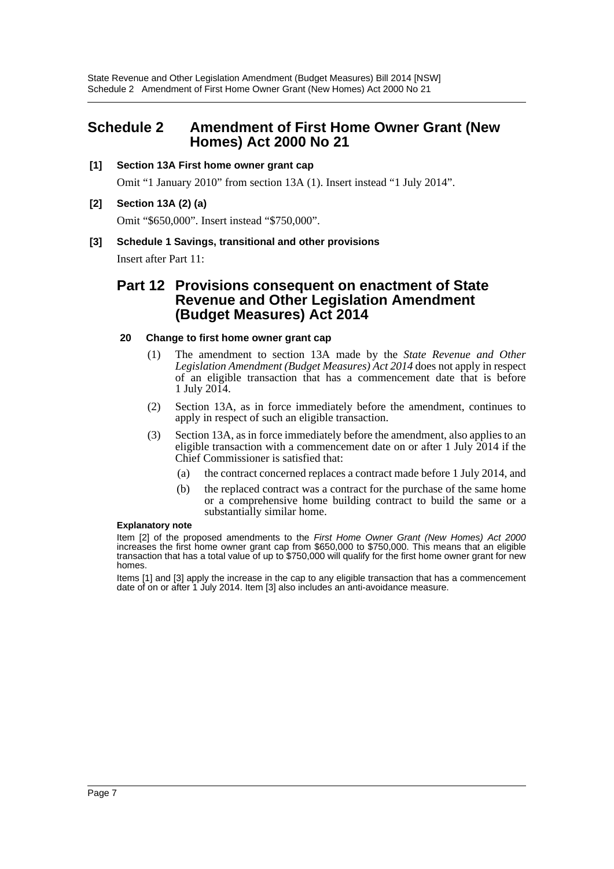## <span id="page-7-0"></span>**Schedule 2 Amendment of First Home Owner Grant (New Homes) Act 2000 No 21**

#### **[1] Section 13A First home owner grant cap**

Omit "1 January 2010" from section 13A (1). Insert instead "1 July 2014".

#### **[2] Section 13A (2) (a)**

Omit "\$650,000". Insert instead "\$750,000".

#### **[3] Schedule 1 Savings, transitional and other provisions**

Insert after Part 11:

## **Part 12 Provisions consequent on enactment of State Revenue and Other Legislation Amendment (Budget Measures) Act 2014**

#### **20 Change to first home owner grant cap**

- (1) The amendment to section 13A made by the *State Revenue and Other Legislation Amendment (Budget Measures) Act 2014* does not apply in respect of an eligible transaction that has a commencement date that is before 1 July 2014.
- (2) Section 13A, as in force immediately before the amendment, continues to apply in respect of such an eligible transaction.
- (3) Section 13A, as in force immediately before the amendment, also applies to an eligible transaction with a commencement date on or after 1 July 2014 if the Chief Commissioner is satisfied that:
	- (a) the contract concerned replaces a contract made before 1 July 2014, and
	- (b) the replaced contract was a contract for the purchase of the same home or a comprehensive home building contract to build the same or a substantially similar home.

#### **Explanatory note**

Item [2] of the proposed amendments to the *First Home Owner Grant (New Homes) Act 2000* increases the first home owner grant cap from \$650,000 to \$750,000. This means that an eligible transaction that has a total value of up to \$750,000 will qualify for the first home owner grant for new homes.

Items [1] and [3] apply the increase in the cap to any eligible transaction that has a commencement date of on or after 1 July 2014. Item [3] also includes an anti-avoidance measure.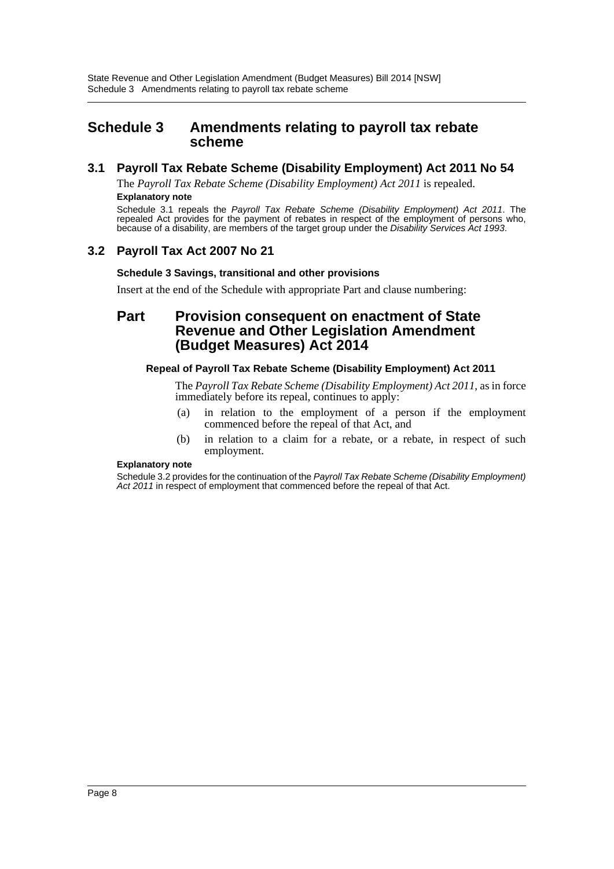## <span id="page-8-0"></span>**Schedule 3 Amendments relating to payroll tax rebate scheme**

## **3.1 Payroll Tax Rebate Scheme (Disability Employment) Act 2011 No 54**

The *Payroll Tax Rebate Scheme (Disability Employment) Act 2011* is repealed. **Explanatory note**

Schedule 3.1 repeals the *Payroll Tax Rebate Scheme (Disability Employment) Act 2011*. The repealed Act provides for the payment of rebates in respect of the employment of persons who, because of a disability, are members of the target group under the *Disability Services Act 1993*.

## **3.2 Payroll Tax Act 2007 No 21**

#### **Schedule 3 Savings, transitional and other provisions**

Insert at the end of the Schedule with appropriate Part and clause numbering:

## **Part Provision consequent on enactment of State Revenue and Other Legislation Amendment (Budget Measures) Act 2014**

#### **Repeal of Payroll Tax Rebate Scheme (Disability Employment) Act 2011**

The *Payroll Tax Rebate Scheme (Disability Employment) Act 2011*, as in force immediately before its repeal, continues to apply:

- (a) in relation to the employment of a person if the employment commenced before the repeal of that Act, and
- (b) in relation to a claim for a rebate, or a rebate, in respect of such employment.

#### **Explanatory note**

Schedule 3.2 provides for the continuation of the *Payroll Tax Rebate Scheme (Disability Employment) Act 2011* in respect of employment that commenced before the repeal of that Act.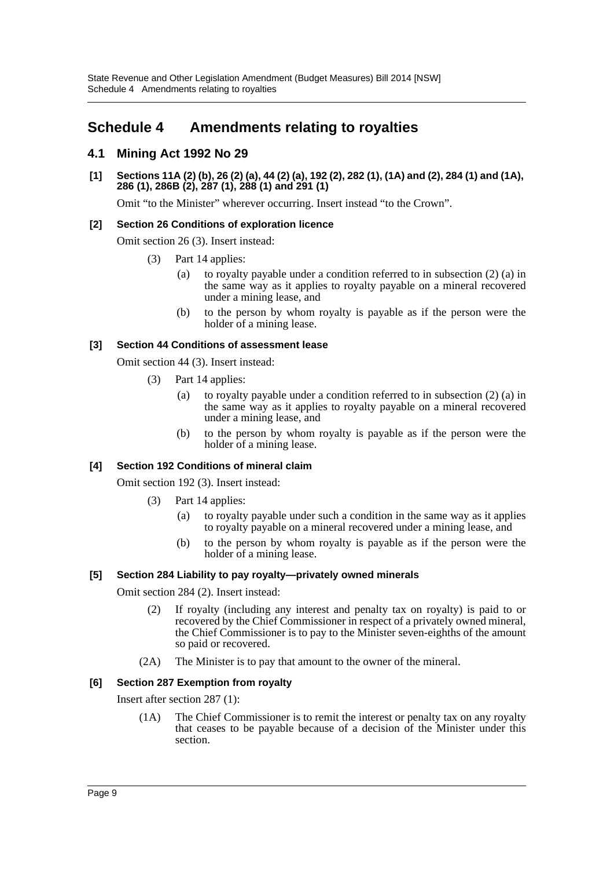## <span id="page-9-0"></span>**Schedule 4 Amendments relating to royalties**

## **4.1 Mining Act 1992 No 29**

**[1] Sections 11A (2) (b), 26 (2) (a), 44 (2) (a), 192 (2), 282 (1), (1A) and (2), 284 (1) and (1A), 286 (1), 286B (2), 287 (1), 288 (1) and 291 (1)**

Omit "to the Minister" wherever occurring. Insert instead "to the Crown".

### **[2] Section 26 Conditions of exploration licence**

Omit section 26 (3). Insert instead:

- (3) Part 14 applies:
	- (a) to royalty payable under a condition referred to in subsection (2) (a) in the same way as it applies to royalty payable on a mineral recovered under a mining lease, and
	- (b) to the person by whom royalty is payable as if the person were the holder of a mining lease.

#### **[3] Section 44 Conditions of assessment lease**

Omit section 44 (3). Insert instead:

- (3) Part 14 applies:
	- (a) to royalty payable under a condition referred to in subsection (2) (a) in the same way as it applies to royalty payable on a mineral recovered under a mining lease, and
	- (b) to the person by whom royalty is payable as if the person were the holder of a mining lease.

#### **[4] Section 192 Conditions of mineral claim**

Omit section 192 (3). Insert instead:

- (3) Part 14 applies:
	- (a) to royalty payable under such a condition in the same way as it applies to royalty payable on a mineral recovered under a mining lease, and
	- (b) to the person by whom royalty is payable as if the person were the holder of a mining lease.

#### **[5] Section 284 Liability to pay royalty—privately owned minerals**

Omit section 284 (2). Insert instead:

- (2) If royalty (including any interest and penalty tax on royalty) is paid to or recovered by the Chief Commissioner in respect of a privately owned mineral, the Chief Commissioner is to pay to the Minister seven-eighths of the amount so paid or recovered.
- (2A) The Minister is to pay that amount to the owner of the mineral.

#### **[6] Section 287 Exemption from royalty**

Insert after section 287 (1):

(1A) The Chief Commissioner is to remit the interest or penalty tax on any royalty that ceases to be payable because of a decision of the Minister under this section.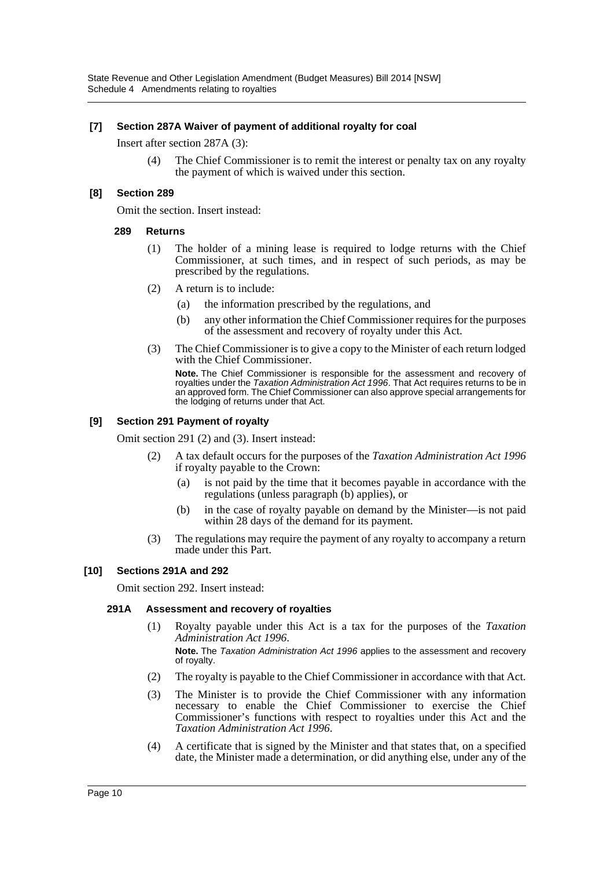#### **[7] Section 287A Waiver of payment of additional royalty for coal**

Insert after section 287A (3):

(4) The Chief Commissioner is to remit the interest or penalty tax on any royalty the payment of which is waived under this section.

#### **[8] Section 289**

Omit the section. Insert instead:

#### **289 Returns**

- (1) The holder of a mining lease is required to lodge returns with the Chief Commissioner, at such times, and in respect of such periods, as may be prescribed by the regulations.
- (2) A return is to include:
	- (a) the information prescribed by the regulations, and
	- (b) any other information the Chief Commissioner requires for the purposes of the assessment and recovery of royalty under this Act.
- (3) The Chief Commissioner is to give a copy to the Minister of each return lodged with the Chief Commissioner.

**Note.** The Chief Commissioner is responsible for the assessment and recovery of royalties under the *Taxation Administration Act 1996*. That Act requires returns to be in an approved form. The Chief Commissioner can also approve special arrangements for the lodging of returns under that Act.

#### **[9] Section 291 Payment of royalty**

Omit section 291 (2) and (3). Insert instead:

- (2) A tax default occurs for the purposes of the *Taxation Administration Act 1996* if royalty payable to the Crown:
	- (a) is not paid by the time that it becomes payable in accordance with the regulations (unless paragraph (b) applies), or
	- (b) in the case of royalty payable on demand by the Minister—is not paid within 28 days of the demand for its payment.
- (3) The regulations may require the payment of any royalty to accompany a return made under this Part.

#### **[10] Sections 291A and 292**

Omit section 292. Insert instead:

#### **291A Assessment and recovery of royalties**

(1) Royalty payable under this Act is a tax for the purposes of the *Taxation Administration Act 1996*.

**Note.** The *Taxation Administration Act 1996* applies to the assessment and recovery of royalty.

- (2) The royalty is payable to the Chief Commissioner in accordance with that Act.
- (3) The Minister is to provide the Chief Commissioner with any information necessary to enable the Chief Commissioner to exercise the Chief Commissioner's functions with respect to royalties under this Act and the *Taxation Administration Act 1996*.
- (4) A certificate that is signed by the Minister and that states that, on a specified date, the Minister made a determination, or did anything else, under any of the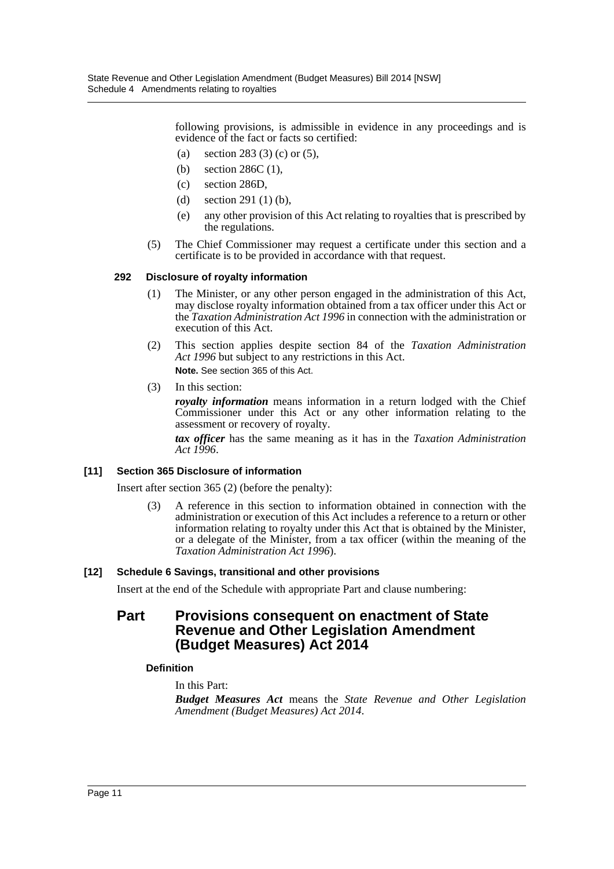following provisions, is admissible in evidence in any proceedings and is evidence of the fact or facts so certified:

- (a) section 283 (3) (c) or (5),
- (b) section 286C (1),
- (c) section 286D,
- (d) section 291 (1) (b),
- (e) any other provision of this Act relating to royalties that is prescribed by the regulations.
- (5) The Chief Commissioner may request a certificate under this section and a certificate is to be provided in accordance with that request.

#### **292 Disclosure of royalty information**

- (1) The Minister, or any other person engaged in the administration of this Act, may disclose royalty information obtained from a tax officer under this Act or the *Taxation Administration Act 1996* in connection with the administration or execution of this Act.
- (2) This section applies despite section 84 of the *Taxation Administration Act 1996* but subject to any restrictions in this Act. **Note.** See section 365 of this Act.
- (3) In this section:

*royalty information* means information in a return lodged with the Chief Commissioner under this Act or any other information relating to the assessment or recovery of royalty.

*tax officer* has the same meaning as it has in the *Taxation Administration Act 1996*.

#### **[11] Section 365 Disclosure of information**

Insert after section 365 (2) (before the penalty):

(3) A reference in this section to information obtained in connection with the administration or execution of this Act includes a reference to a return or other information relating to royalty under this Act that is obtained by the Minister, or a delegate of the Minister, from a tax officer (within the meaning of the *Taxation Administration Act 1996*).

#### **[12] Schedule 6 Savings, transitional and other provisions**

Insert at the end of the Schedule with appropriate Part and clause numbering:

## **Part Provisions consequent on enactment of State Revenue and Other Legislation Amendment (Budget Measures) Act 2014**

#### **Definition**

In this Part:

*Budget Measures Act* means the *State Revenue and Other Legislation Amendment (Budget Measures) Act 2014*.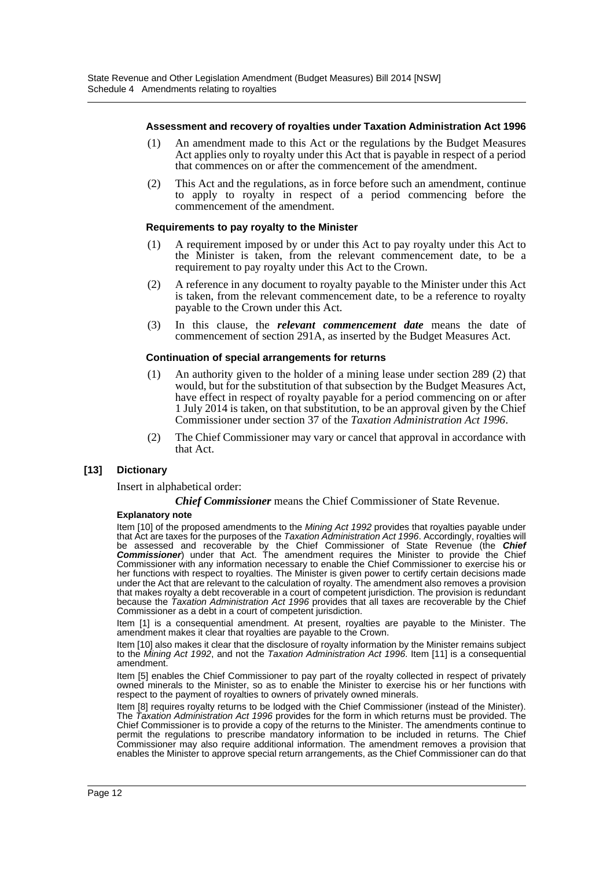#### **Assessment and recovery of royalties under Taxation Administration Act 1996**

- (1) An amendment made to this Act or the regulations by the Budget Measures Act applies only to royalty under this Act that is payable in respect of a period that commences on or after the commencement of the amendment.
- (2) This Act and the regulations, as in force before such an amendment, continue to apply to royalty in respect of a period commencing before the commencement of the amendment.

#### **Requirements to pay royalty to the Minister**

- (1) A requirement imposed by or under this Act to pay royalty under this Act to the Minister is taken, from the relevant commencement date, to be a requirement to pay royalty under this Act to the Crown.
- (2) A reference in any document to royalty payable to the Minister under this Act is taken, from the relevant commencement date, to be a reference to royalty payable to the Crown under this Act.
- (3) In this clause, the *relevant commencement date* means the date of commencement of section 291A, as inserted by the Budget Measures Act.

#### **Continuation of special arrangements for returns**

- (1) An authority given to the holder of a mining lease under section 289 (2) that would, but for the substitution of that subsection by the Budget Measures Act, have effect in respect of royalty payable for a period commencing on or after 1 July 2014 is taken, on that substitution, to be an approval given by the Chief Commissioner under section 37 of the *Taxation Administration Act 1996*.
- (2) The Chief Commissioner may vary or cancel that approval in accordance with that Act.

#### **[13] Dictionary**

Insert in alphabetical order:

#### *Chief Commissioner* means the Chief Commissioner of State Revenue.

#### **Explanatory note**

Item [10] of the proposed amendments to the *Mining Act 1992* provides that royalties payable under that Act are taxes for the purposes of the *Taxation Administration Act 1996*. Accordingly, royalties will be assessed and recoverable by the Chief Commissioner of State Revenue (the *Chief Commissioner*) under that Act. The amendment requires the Minister to provide the Chief Commissioner with any information necessary to enable the Chief Commissioner to exercise his or her functions with respect to royalties. The Minister is given power to certify certain decisions made under the Act that are relevant to the calculation of royalty. The amendment also removes a provision that makes royalty a debt recoverable in a court of competent jurisdiction. The provision is redundant because the *Taxation Administration Act 1996* provides that all taxes are recoverable by the Chief Commissioner as a debt in a court of competent jurisdiction.

Item [1] is a consequential amendment. At present, royalties are payable to the Minister. The amendment makes it clear that royalties are payable to the Crown.

Item [10] also makes it clear that the disclosure of royalty information by the Minister remains subject to the *Mining Act 1992*, and not the *Taxation Administration Act 1996*. Item [11] is a consequential amendment.

Item [5] enables the Chief Commissioner to pay part of the royalty collected in respect of privately owned minerals to the Minister, so as to enable the Minister to exercise his or her functions with respect to the payment of royalties to owners of privately owned minerals.

Item [8] requires royalty returns to be lodged with the Chief Commissioner (instead of the Minister). The *Taxation Administration Act 1996* provides for the form in which returns must be provided. The Chief Commissioner is to provide a copy of the returns to the Minister. The amendments continue to permit the regulations to prescribe mandatory information to be included in returns. The Chief Commissioner may also require additional information. The amendment removes a provision that enables the Minister to approve special return arrangements, as the Chief Commissioner can do that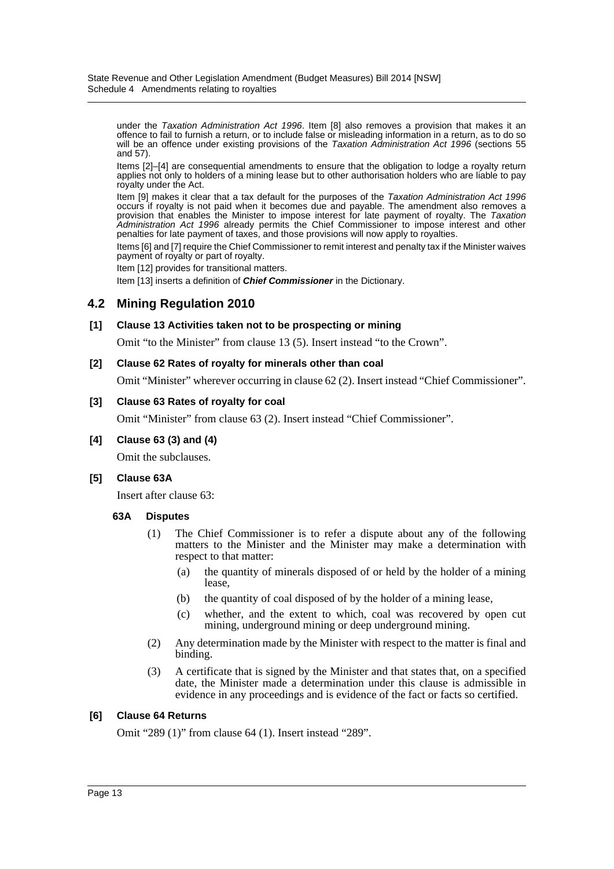under the *Taxation Administration Act 1996*. Item [8] also removes a provision that makes it an offence to fail to furnish a return, or to include false or misleading information in a return, as to do so will be an offence under existing provisions of the *Taxation Administration Act 1996* (sections 55 and 57).

Items [2]–[4] are consequential amendments to ensure that the obligation to lodge a royalty return applies not only to holders of a mining lease but to other authorisation holders who are liable to pay royalty under the Act.

Item [9] makes it clear that a tax default for the purposes of the *Taxation Administration Act 1996* occurs if royalty is not paid when it becomes due and payable. The amendment also removes a provision that enables the Minister to impose interest for late payment of royalty. The *Taxation Administration Act 1996* already permits the Chief Commissioner to impose interest and other penalties for late payment of taxes, and those provisions will now apply to royalties.

Items [6] and [7] require the Chief Commissioner to remit interest and penalty tax if the Minister waives payment of royalty or part of royalty.

Item [12] provides for transitional matters.

Item [13] inserts a definition of *Chief Commissioner* in the Dictionary.

### **4.2 Mining Regulation 2010**

#### **[1] Clause 13 Activities taken not to be prospecting or mining**

Omit "to the Minister" from clause 13 (5). Insert instead "to the Crown".

#### **[2] Clause 62 Rates of royalty for minerals other than coal**

Omit "Minister" wherever occurring in clause 62 (2). Insert instead "Chief Commissioner".

#### **[3] Clause 63 Rates of royalty for coal**

Omit "Minister" from clause 63 (2). Insert instead "Chief Commissioner".

#### **[4] Clause 63 (3) and (4)**

Omit the subclauses.

#### **[5] Clause 63A**

Insert after clause 63:

#### **63A Disputes**

- (1) The Chief Commissioner is to refer a dispute about any of the following matters to the Minister and the Minister may make a determination with respect to that matter:
	- (a) the quantity of minerals disposed of or held by the holder of a mining lease,
	- (b) the quantity of coal disposed of by the holder of a mining lease,
	- (c) whether, and the extent to which, coal was recovered by open cut mining, underground mining or deep underground mining.
- (2) Any determination made by the Minister with respect to the matter is final and binding.
- (3) A certificate that is signed by the Minister and that states that, on a specified date, the Minister made a determination under this clause is admissible in evidence in any proceedings and is evidence of the fact or facts so certified.

#### **[6] Clause 64 Returns**

Omit "289 (1)" from clause 64 (1). Insert instead "289".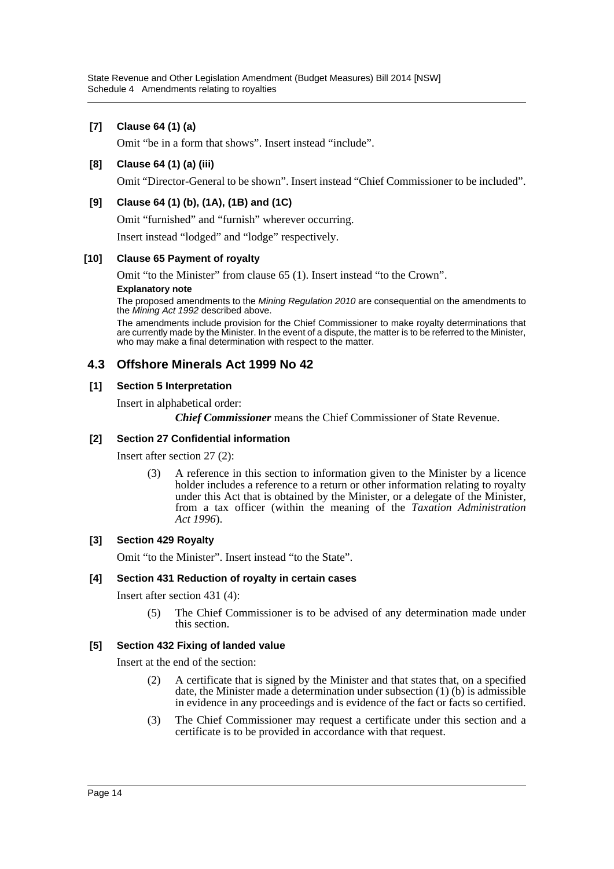### **[7] Clause 64 (1) (a)**

Omit "be in a form that shows". Insert instead "include".

#### **[8] Clause 64 (1) (a) (iii)**

Omit "Director-General to be shown". Insert instead "Chief Commissioner to be included".

#### **[9] Clause 64 (1) (b), (1A), (1B) and (1C)**

Omit "furnished" and "furnish" wherever occurring.

Insert instead "lodged" and "lodge" respectively.

#### **[10] Clause 65 Payment of royalty**

Omit "to the Minister" from clause 65 (1). Insert instead "to the Crown".

#### **Explanatory note**

The proposed amendments to the *Mining Regulation 2010* are consequential on the amendments to the *Mining Act 1992* described above.

The amendments include provision for the Chief Commissioner to make royalty determinations that are currently made by the Minister. In the event of a dispute, the matter is to be referred to the Minister, who may make a final determination with respect to the matter.

### **4.3 Offshore Minerals Act 1999 No 42**

#### **[1] Section 5 Interpretation**

Insert in alphabetical order:

*Chief Commissioner* means the Chief Commissioner of State Revenue.

#### **[2] Section 27 Confidential information**

Insert after section 27 (2):

(3) A reference in this section to information given to the Minister by a licence holder includes a reference to a return or other information relating to royalty under this Act that is obtained by the Minister, or a delegate of the Minister, from a tax officer (within the meaning of the *Taxation Administration Act 1996*).

#### **[3] Section 429 Royalty**

Omit "to the Minister". Insert instead "to the State".

#### **[4] Section 431 Reduction of royalty in certain cases**

Insert after section 431 (4):

(5) The Chief Commissioner is to be advised of any determination made under this section.

#### **[5] Section 432 Fixing of landed value**

Insert at the end of the section:

- (2) A certificate that is signed by the Minister and that states that, on a specified date, the Minister made a determination under subsection (1) (b) is admissible in evidence in any proceedings and is evidence of the fact or facts so certified.
- (3) The Chief Commissioner may request a certificate under this section and a certificate is to be provided in accordance with that request.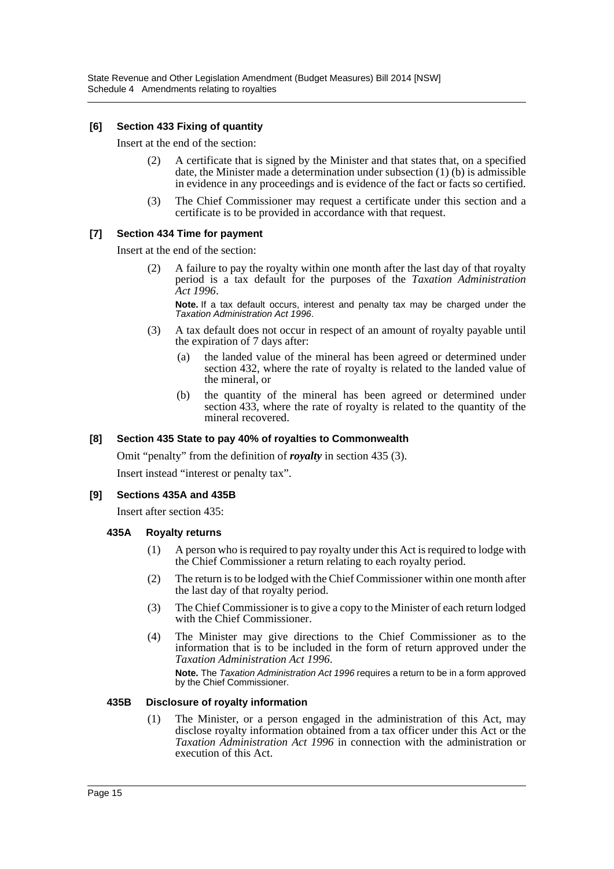#### **[6] Section 433 Fixing of quantity**

Insert at the end of the section:

- (2) A certificate that is signed by the Minister and that states that, on a specified date, the Minister made a determination under subsection (1) (b) is admissible in evidence in any proceedings and is evidence of the fact or facts so certified.
- (3) The Chief Commissioner may request a certificate under this section and a certificate is to be provided in accordance with that request.

#### **[7] Section 434 Time for payment**

Insert at the end of the section:

(2) A failure to pay the royalty within one month after the last day of that royalty period is a tax default for the purposes of the *Taxation Administration Act 1996*.

**Note.** If a tax default occurs, interest and penalty tax may be charged under the *Taxation Administration Act 1996*.

- (3) A tax default does not occur in respect of an amount of royalty payable until the expiration of 7 days after:
	- (a) the landed value of the mineral has been agreed or determined under section 432, where the rate of royalty is related to the landed value of the mineral, or
	- (b) the quantity of the mineral has been agreed or determined under section 433, where the rate of royalty is related to the quantity of the mineral recovered.

#### **[8] Section 435 State to pay 40% of royalties to Commonwealth**

Omit "penalty" from the definition of *royalty* in section 435 (3).

Insert instead "interest or penalty tax".

#### **[9] Sections 435A and 435B**

Insert after section 435:

#### **435A Royalty returns**

- (1) A person who is required to pay royalty under this Act is required to lodge with the Chief Commissioner a return relating to each royalty period.
- (2) The return is to be lodged with the Chief Commissioner within one month after the last day of that royalty period.
- (3) The Chief Commissioner is to give a copy to the Minister of each return lodged with the Chief Commissioner.
- (4) The Minister may give directions to the Chief Commissioner as to the information that is to be included in the form of return approved under the *Taxation Administration Act 1996*.

**Note.** The *Taxation Administration Act 1996* requires a return to be in a form approved by the Chief Commissioner.

#### **435B Disclosure of royalty information**

(1) The Minister, or a person engaged in the administration of this Act, may disclose royalty information obtained from a tax officer under this Act or the *Taxation Administration Act 1996* in connection with the administration or execution of this Act.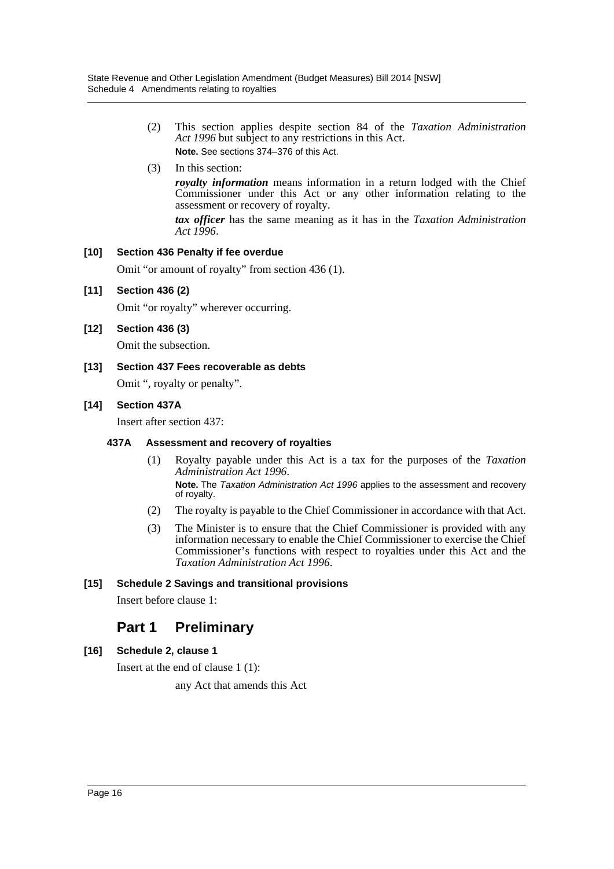- (2) This section applies despite section 84 of the *Taxation Administration Act 1996* but subject to any restrictions in this Act. **Note.** See sections 374–376 of this Act.
- (3) In this section:

*royalty information* means information in a return lodged with the Chief Commissioner under this Act or any other information relating to the assessment or recovery of royalty.

*tax officer* has the same meaning as it has in the *Taxation Administration Act 1996*.

#### **[10] Section 436 Penalty if fee overdue**

Omit "or amount of royalty" from section 436 (1).

#### **[11] Section 436 (2)**

Omit "or royalty" wherever occurring.

#### **[12] Section 436 (3)**

Omit the subsection.

**[13] Section 437 Fees recoverable as debts**

Omit ", royalty or penalty".

#### **[14] Section 437A**

Insert after section 437:

#### **437A Assessment and recovery of royalties**

(1) Royalty payable under this Act is a tax for the purposes of the *Taxation Administration Act 1996*.

**Note.** The *Taxation Administration Act 1996* applies to the assessment and recovery of royalty.

- (2) The royalty is payable to the Chief Commissioner in accordance with that Act.
- (3) The Minister is to ensure that the Chief Commissioner is provided with any information necessary to enable the Chief Commissioner to exercise the Chief Commissioner's functions with respect to royalties under this Act and the *Taxation Administration Act 1996*.

#### **[15] Schedule 2 Savings and transitional provisions**

Insert before clause 1:

## **Part 1 Preliminary**

#### **[16] Schedule 2, clause 1**

Insert at the end of clause 1 (1):

any Act that amends this Act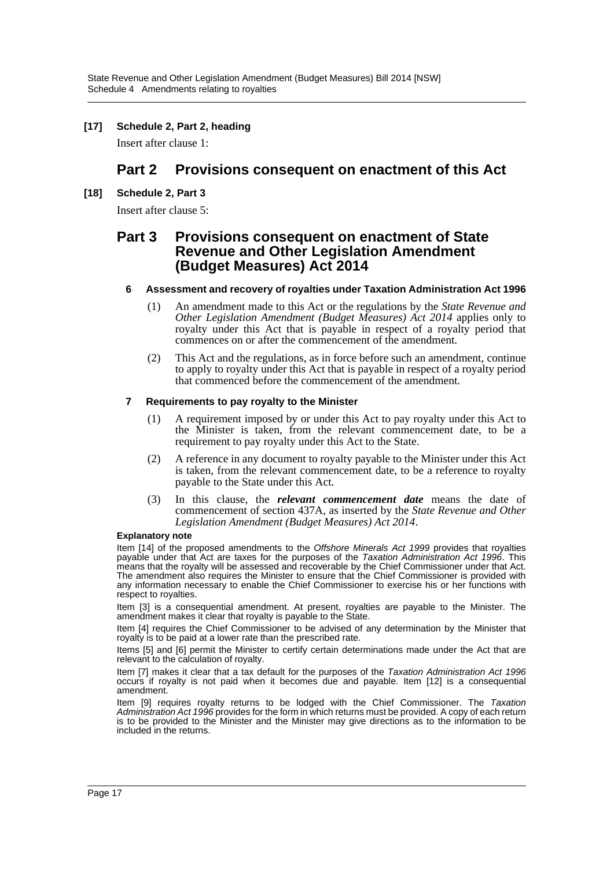#### **[17] Schedule 2, Part 2, heading**

Insert after clause 1:

## **Part 2 Provisions consequent on enactment of this Act**

#### **[18] Schedule 2, Part 3**

Insert after clause 5:

## **Part 3 Provisions consequent on enactment of State Revenue and Other Legislation Amendment (Budget Measures) Act 2014**

#### **6 Assessment and recovery of royalties under Taxation Administration Act 1996**

- (1) An amendment made to this Act or the regulations by the *State Revenue and Other Legislation Amendment (Budget Measures) Act 2014* applies only to royalty under this Act that is payable in respect of a royalty period that commences on or after the commencement of the amendment.
- (2) This Act and the regulations, as in force before such an amendment, continue to apply to royalty under this Act that is payable in respect of a royalty period that commenced before the commencement of the amendment.

#### **7 Requirements to pay royalty to the Minister**

- (1) A requirement imposed by or under this Act to pay royalty under this Act to the Minister is taken, from the relevant commencement date, to be a requirement to pay royalty under this Act to the State.
- (2) A reference in any document to royalty payable to the Minister under this Act is taken, from the relevant commencement date, to be a reference to royalty payable to the State under this Act.
- (3) In this clause, the *relevant commencement date* means the date of commencement of section 437A, as inserted by the *State Revenue and Other Legislation Amendment (Budget Measures) Act 2014*.

#### **Explanatory note**

Item [14] of the proposed amendments to the *Offshore Minerals Act 1999* provides that royalties payable under that Act are taxes for the purposes of the *Taxation Administration Act 1996*. This means that the royalty will be assessed and recoverable by the Chief Commissioner under that Act. The amendment also requires the Minister to ensure that the Chief Commissioner is provided with any information necessary to enable the Chief Commissioner to exercise his or her functions with respect to royalties.

Item [3] is a consequential amendment. At present, royalties are payable to the Minister. The amendment makes it clear that royalty is payable to the State.

Item [4] requires the Chief Commissioner to be advised of any determination by the Minister that royalty is to be paid at a lower rate than the prescribed rate.

Items [5] and [6] permit the Minister to certify certain determinations made under the Act that are relevant to the calculation of royalty.

Item [7] makes it clear that a tax default for the purposes of the *Taxation Administration Act 1996* occurs if royalty is not paid when it becomes due and payable. Item [12] is a consequential amendment.

Item [9] requires royalty returns to be lodged with the Chief Commissioner. The *Taxation Administration Act 1996* provides for the form in which returns must be provided. A copy of each return is to be provided to the Minister and the Minister may give directions as to the information to be included in the returns.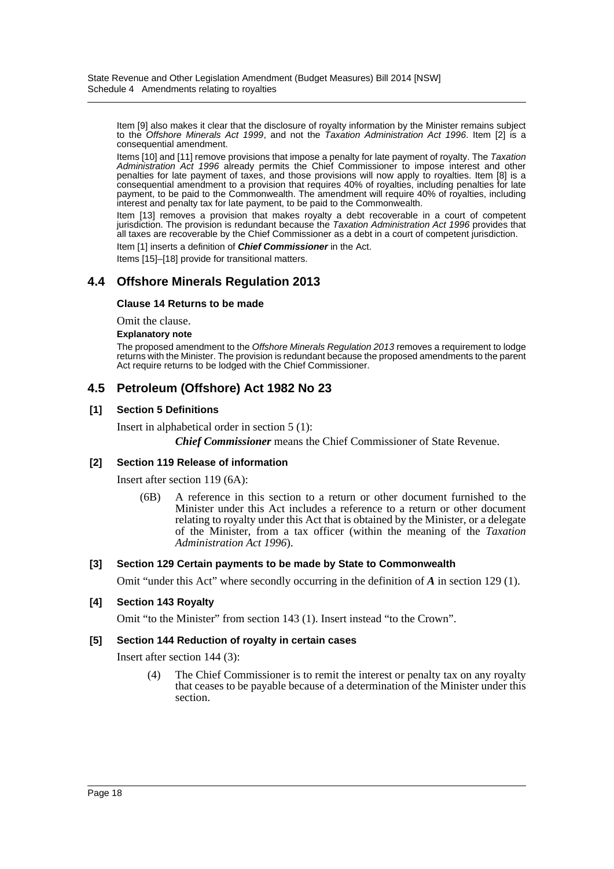Item [9] also makes it clear that the disclosure of royalty information by the Minister remains subject to the *Offshore Minerals Act 1999*, and not the *Taxation Administration Act 1996*. Item [2] is a consequential amendment.

Items [10] and [11] remove provisions that impose a penalty for late payment of royalty. The *Taxation Administration Act 1996* already permits the Chief Commissioner to impose interest and other penalties for late payment of taxes, and those provisions will now apply to royalties. Item [8] is a consequential amendment to a provision that requires 40% of royalties, including penalties for late payment, to be paid to the Commonwealth. The amendment will require 40% of royalties, including interest and penalty tax for late payment, to be paid to the Commonwealth.

Item [13] removes a provision that makes royalty a debt recoverable in a court of competent jurisdiction. The provision is redundant because the *Taxation Administration Act 1996* provides that all taxes are recoverable by the Chief Commissioner as a debt in a court of competent jurisdiction.

Item [1] inserts a definition of *Chief Commissioner* in the Act.

Items [15]–[18] provide for transitional matters.

### **4.4 Offshore Minerals Regulation 2013**

#### **Clause 14 Returns to be made**

Omit the clause.

#### **Explanatory note**

The proposed amendment to the *Offshore Minerals Regulation 2013* removes a requirement to lodge returns with the Minister. The provision is redundant because the proposed amendments to the parent Act require returns to be lodged with the Chief Commissioner.

### **4.5 Petroleum (Offshore) Act 1982 No 23**

#### **[1] Section 5 Definitions**

Insert in alphabetical order in section 5 (1): *Chief Commissioner* means the Chief Commissioner of State Revenue.

#### **[2] Section 119 Release of information**

Insert after section 119 (6A):

(6B) A reference in this section to a return or other document furnished to the Minister under this Act includes a reference to a return or other document relating to royalty under this Act that is obtained by the Minister, or a delegate of the Minister, from a tax officer (within the meaning of the *Taxation Administration Act 1996*).

#### **[3] Section 129 Certain payments to be made by State to Commonwealth**

Omit "under this Act" where secondly occurring in the definition of *A* in section 129 (1).

#### **[4] Section 143 Royalty**

Omit "to the Minister" from section 143 (1). Insert instead "to the Crown".

#### **[5] Section 144 Reduction of royalty in certain cases**

Insert after section 144 (3):

(4) The Chief Commissioner is to remit the interest or penalty tax on any royalty that ceases to be payable because of a determination of the Minister under this section.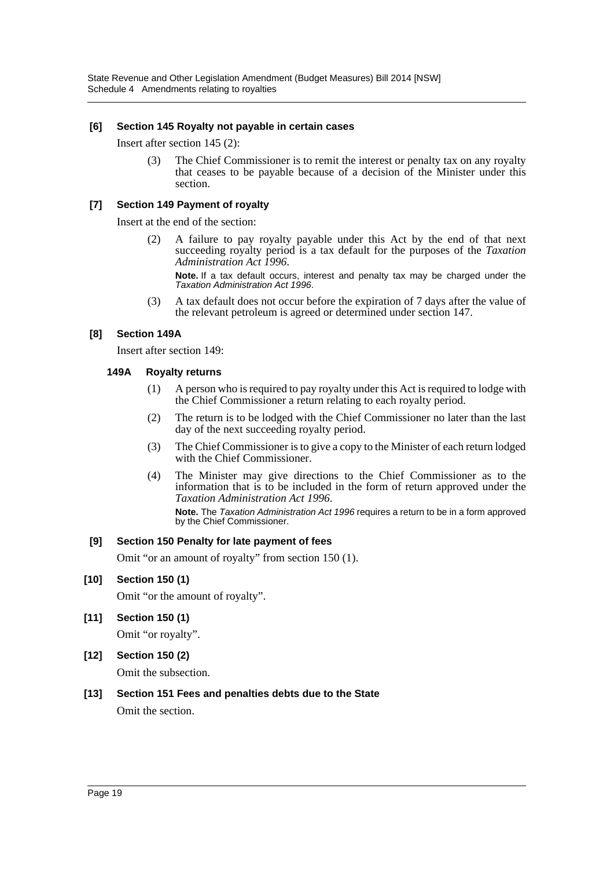#### **[6] Section 145 Royalty not payable in certain cases**

Insert after section 145 (2):

(3) The Chief Commissioner is to remit the interest or penalty tax on any royalty that ceases to be payable because of a decision of the Minister under this section.

#### **[7] Section 149 Payment of royalty**

Insert at the end of the section:

(2) A failure to pay royalty payable under this Act by the end of that next succeeding royalty period is a tax default for the purposes of the *Taxation Administration Act 1996*.

**Note.** If a tax default occurs, interest and penalty tax may be charged under the *Taxation Administration Act 1996*.

(3) A tax default does not occur before the expiration of 7 days after the value of the relevant petroleum is agreed or determined under section 147.

#### **[8] Section 149A**

Insert after section 149:

#### **149A Royalty returns**

- (1) A person who is required to pay royalty under this Act is required to lodge with the Chief Commissioner a return relating to each royalty period.
- (2) The return is to be lodged with the Chief Commissioner no later than the last day of the next succeeding royalty period.
- (3) The Chief Commissioner is to give a copy to the Minister of each return lodged with the Chief Commissioner.
- (4) The Minister may give directions to the Chief Commissioner as to the information that is to be included in the form of return approved under the *Taxation Administration Act 1996*.

**Note.** The *Taxation Administration Act 1996* requires a return to be in a form approved by the Chief Commissioner.

#### **[9] Section 150 Penalty for late payment of fees**

Omit "or an amount of royalty" from section 150 (1).

#### **[10] Section 150 (1)**

Omit "or the amount of royalty".

**[11] Section 150 (1)**

Omit "or royalty".

**[12] Section 150 (2)**

Omit the subsection.

## **[13] Section 151 Fees and penalties debts due to the State**

Omit the section.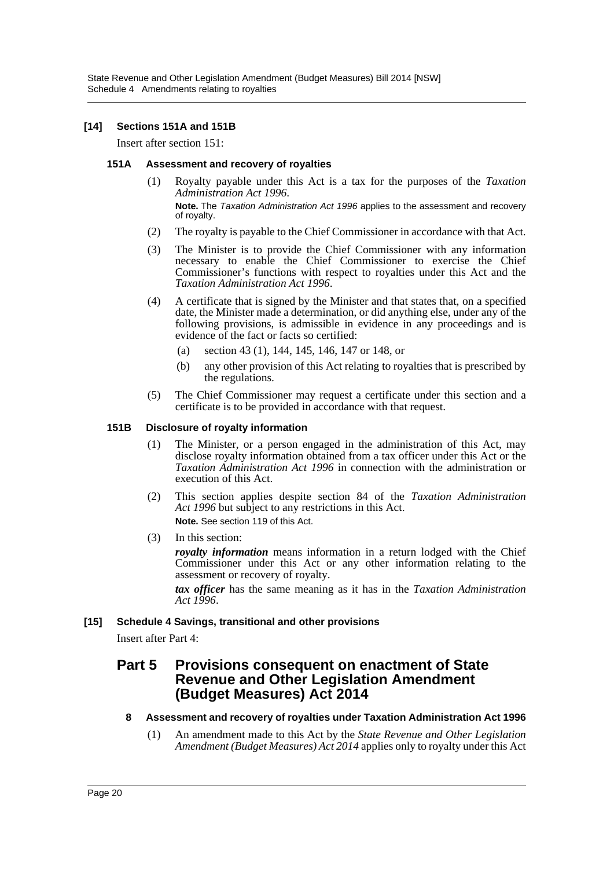State Revenue and Other Legislation Amendment (Budget Measures) Bill 2014 [NSW] Schedule 4 Amendments relating to royalties

#### **[14] Sections 151A and 151B**

Insert after section 151:

#### **151A Assessment and recovery of royalties**

(1) Royalty payable under this Act is a tax for the purposes of the *Taxation Administration Act 1996*.

**Note.** The *Taxation Administration Act 1996* applies to the assessment and recovery of royalty.

- (2) The royalty is payable to the Chief Commissioner in accordance with that Act.
- (3) The Minister is to provide the Chief Commissioner with any information necessary to enable the Chief Commissioner to exercise the Chief Commissioner's functions with respect to royalties under this Act and the *Taxation Administration Act 1996*.
- (4) A certificate that is signed by the Minister and that states that, on a specified date, the Minister made a determination, or did anything else, under any of the following provisions, is admissible in evidence in any proceedings and is evidence of the fact or facts so certified:
	- (a) section 43 (1), 144, 145, 146, 147 or 148, or
	- (b) any other provision of this Act relating to royalties that is prescribed by the regulations.
- (5) The Chief Commissioner may request a certificate under this section and a certificate is to be provided in accordance with that request.

#### **151B Disclosure of royalty information**

- (1) The Minister, or a person engaged in the administration of this Act, may disclose royalty information obtained from a tax officer under this Act or the *Taxation Administration Act 1996* in connection with the administration or execution of this Act.
- (2) This section applies despite section 84 of the *Taxation Administration Act 1996* but subject to any restrictions in this Act. **Note.** See section 119 of this Act.
- (3) In this section:

*royalty information* means information in a return lodged with the Chief Commissioner under this Act or any other information relating to the assessment or recovery of royalty.

*tax officer* has the same meaning as it has in the *Taxation Administration Act 1996*.

#### **[15] Schedule 4 Savings, transitional and other provisions**

Insert after Part 4:

## **Part 5 Provisions consequent on enactment of State Revenue and Other Legislation Amendment (Budget Measures) Act 2014**

#### **8 Assessment and recovery of royalties under Taxation Administration Act 1996**

(1) An amendment made to this Act by the *State Revenue and Other Legislation Amendment (Budget Measures) Act 2014* applies only to royalty under this Act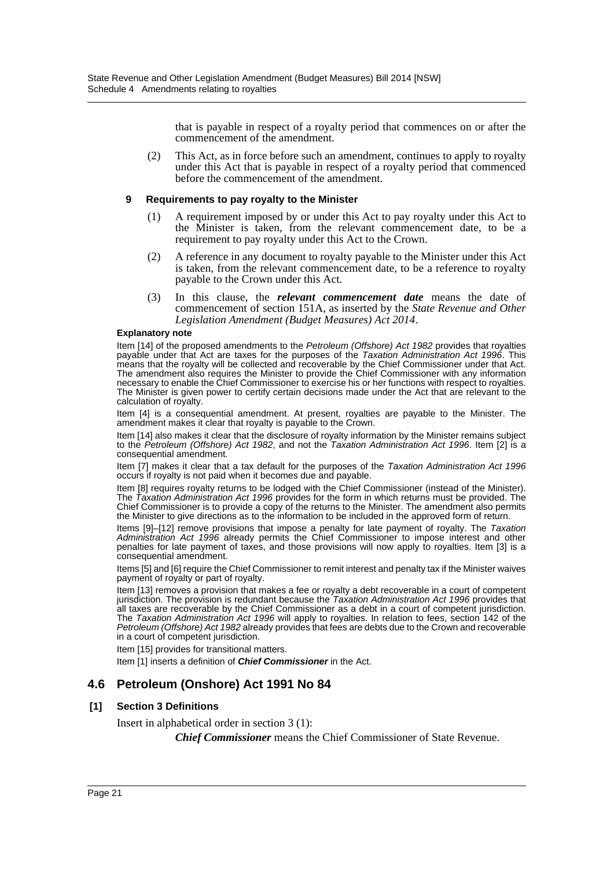that is payable in respect of a royalty period that commences on or after the commencement of the amendment.

(2) This Act, as in force before such an amendment, continues to apply to royalty under this Act that is payable in respect of a royalty period that commenced before the commencement of the amendment.

#### **9 Requirements to pay royalty to the Minister**

- (1) A requirement imposed by or under this Act to pay royalty under this Act to the Minister is taken, from the relevant commencement date, to be a requirement to pay royalty under this Act to the Crown.
- (2) A reference in any document to royalty payable to the Minister under this Act is taken, from the relevant commencement date, to be a reference to royalty payable to the Crown under this Act.
- (3) In this clause, the *relevant commencement date* means the date of commencement of section 151A, as inserted by the *State Revenue and Other Legislation Amendment (Budget Measures) Act 2014*.

#### **Explanatory note**

Item [14] of the proposed amendments to the *Petroleum (Offshore) Act 1982* provides that royalties payable under that Act are taxes for the purposes of the *Taxation Administration Act 1996*. This means that the royalty will be collected and recoverable by the Chief Commissioner under that Act. The amendment also requires the Minister to provide the Chief Commissioner with any information necessary to enable the Chief Commissioner to exercise his or her functions with respect to royalties. The Minister is given power to certify certain decisions made under the Act that are relevant to the calculation of royalty.

Item [4] is a consequential amendment. At present, royalties are payable to the Minister. The amendment makes it clear that royalty is payable to the Crown.

Item [14] also makes it clear that the disclosure of royalty information by the Minister remains subject to the *Petroleum (Offshore) Act 1982*, and not the *Taxation Administration Act 1996*. Item [2] is a consequential amendment.

Item [7] makes it clear that a tax default for the purposes of the *Taxation Administration Act 1996* occurs if royalty is not paid when it becomes due and payable.

Item [8] requires royalty returns to be lodged with the Chief Commissioner (instead of the Minister). The *Taxation Administration Act 1996* provides for the form in which returns must be provided. The Chief Commissioner is to provide a copy of the returns to the Minister. The amendment also permits the Minister to give directions as to the information to be included in the approved form of return.

Items [9]–[12] remove provisions that impose a penalty for late payment of royalty. The *Taxation Administration Act 1996* already permits the Chief Commissioner to impose interest and other penalties for late payment of taxes, and those provisions will now apply to royalties. Item [3] is a consequential amendment.

Items [5] and [6] require the Chief Commissioner to remit interest and penalty tax if the Minister waives payment of royalty or part of royalty.

Item [13] removes a provision that makes a fee or royalty a debt recoverable in a court of competent jurisdiction. The provision is redundant because the *Taxation Administration Act 1996* provides that all taxes are recoverable by the Chief Commissioner as a debt in a court of competent jurisdiction. The *Taxation Administration Act 1996* will apply to royalties. In relation to fees, section 142 of the *Petroleum (Offshore) Act 1982* already provides that fees are debts due to the Crown and recoverable in a court of competent jurisdiction.

Item [15] provides for transitional matters.

Item [1] inserts a definition of *Chief Commissioner* in the Act.

## **4.6 Petroleum (Onshore) Act 1991 No 84**

#### **[1] Section 3 Definitions**

Insert in alphabetical order in section 3 (1):

*Chief Commissioner* means the Chief Commissioner of State Revenue.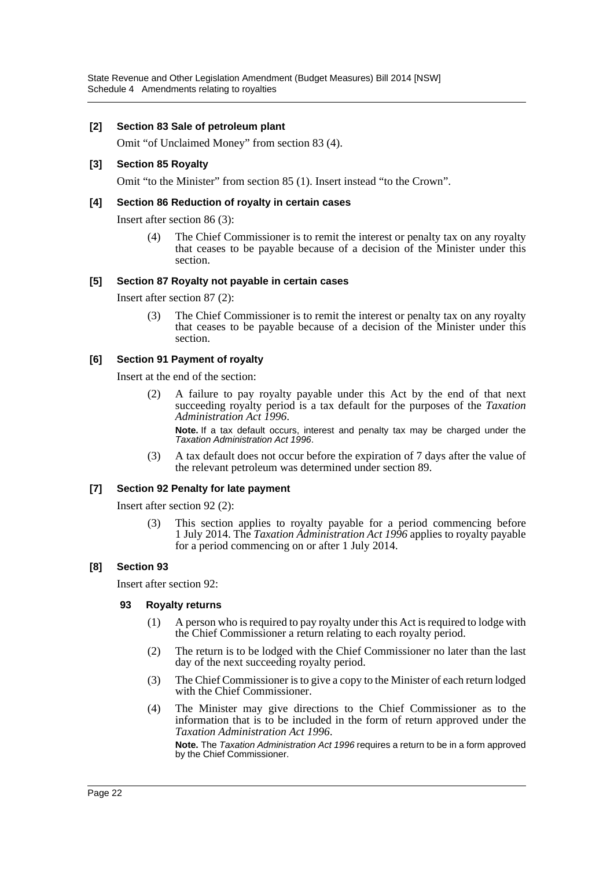State Revenue and Other Legislation Amendment (Budget Measures) Bill 2014 [NSW] Schedule 4 Amendments relating to royalties

#### **[2] Section 83 Sale of petroleum plant**

Omit "of Unclaimed Money" from section 83 (4).

#### **[3] Section 85 Royalty**

Omit "to the Minister" from section 85 (1). Insert instead "to the Crown".

#### **[4] Section 86 Reduction of royalty in certain cases**

Insert after section 86 (3):

(4) The Chief Commissioner is to remit the interest or penalty tax on any royalty that ceases to be payable because of a decision of the Minister under this section.

#### **[5] Section 87 Royalty not payable in certain cases**

Insert after section 87 (2):

(3) The Chief Commissioner is to remit the interest or penalty tax on any royalty that ceases to be payable because of a decision of the Minister under this section.

#### **[6] Section 91 Payment of royalty**

Insert at the end of the section:

(2) A failure to pay royalty payable under this Act by the end of that next succeeding royalty period is a tax default for the purposes of the *Taxation Administration Act 1996*.

**Note.** If a tax default occurs, interest and penalty tax may be charged under the *Taxation Administration Act 1996*.

(3) A tax default does not occur before the expiration of 7 days after the value of the relevant petroleum was determined under section 89.

#### **[7] Section 92 Penalty for late payment**

Insert after section 92 (2):

(3) This section applies to royalty payable for a period commencing before 1 July 2014. The *Taxation Administration Act 1996* applies to royalty payable for a period commencing on or after 1 July 2014.

#### **[8] Section 93**

Insert after section 92:

#### **93 Royalty returns**

- (1) A person who is required to pay royalty under this Act is required to lodge with the Chief Commissioner a return relating to each royalty period.
- (2) The return is to be lodged with the Chief Commissioner no later than the last day of the next succeeding royalty period.
- (3) The Chief Commissioner is to give a copy to the Minister of each return lodged with the Chief Commissioner.
- (4) The Minister may give directions to the Chief Commissioner as to the information that is to be included in the form of return approved under the *Taxation Administration Act 1996*.

**Note.** The *Taxation Administration Act 1996* requires a return to be in a form approved by the Chief Commissioner.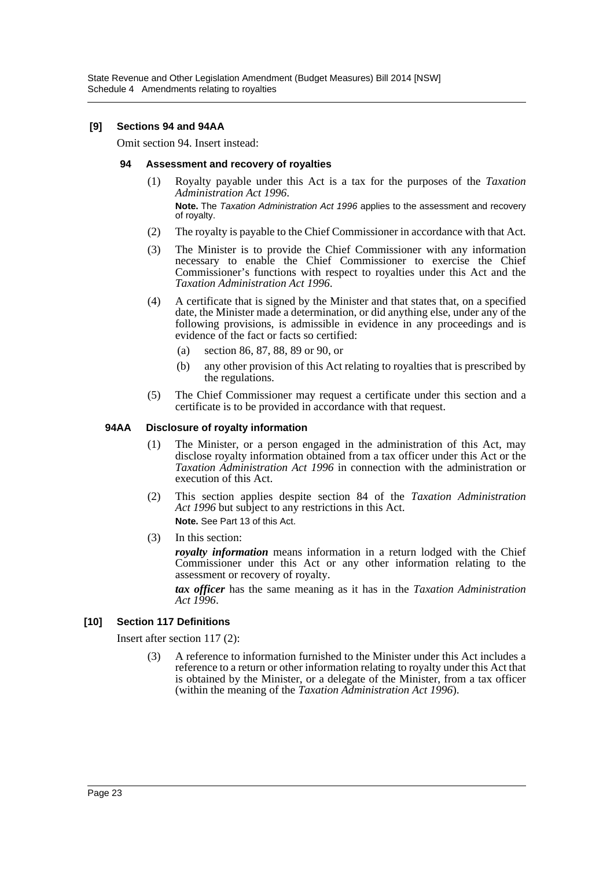State Revenue and Other Legislation Amendment (Budget Measures) Bill 2014 [NSW] Schedule 4 Amendments relating to royalties

#### **[9] Sections 94 and 94AA**

Omit section 94. Insert instead:

#### **94 Assessment and recovery of royalties**

(1) Royalty payable under this Act is a tax for the purposes of the *Taxation Administration Act 1996*.

**Note.** The *Taxation Administration Act 1996* applies to the assessment and recovery of royalty.

- (2) The royalty is payable to the Chief Commissioner in accordance with that Act.
- (3) The Minister is to provide the Chief Commissioner with any information necessary to enable the Chief Commissioner to exercise the Chief Commissioner's functions with respect to royalties under this Act and the *Taxation Administration Act 1996*.
- (4) A certificate that is signed by the Minister and that states that, on a specified date, the Minister made a determination, or did anything else, under any of the following provisions, is admissible in evidence in any proceedings and is evidence of the fact or facts so certified:
	- (a) section 86, 87, 88, 89 or 90, or
	- (b) any other provision of this Act relating to royalties that is prescribed by the regulations.
- (5) The Chief Commissioner may request a certificate under this section and a certificate is to be provided in accordance with that request.

#### **94AA Disclosure of royalty information**

- (1) The Minister, or a person engaged in the administration of this Act, may disclose royalty information obtained from a tax officer under this Act or the *Taxation Administration Act 1996* in connection with the administration or execution of this Act.
- (2) This section applies despite section 84 of the *Taxation Administration Act 1996* but subject to any restrictions in this Act. **Note.** See Part 13 of this Act.
- (3) In this section:

*royalty information* means information in a return lodged with the Chief Commissioner under this Act or any other information relating to the assessment or recovery of royalty.

*tax officer* has the same meaning as it has in the *Taxation Administration Act 1996*.

#### **[10] Section 117 Definitions**

Insert after section 117 (2):

(3) A reference to information furnished to the Minister under this Act includes a reference to a return or other information relating to royalty under this Act that is obtained by the Minister, or a delegate of the Minister, from a tax officer (within the meaning of the *Taxation Administration Act 1996*).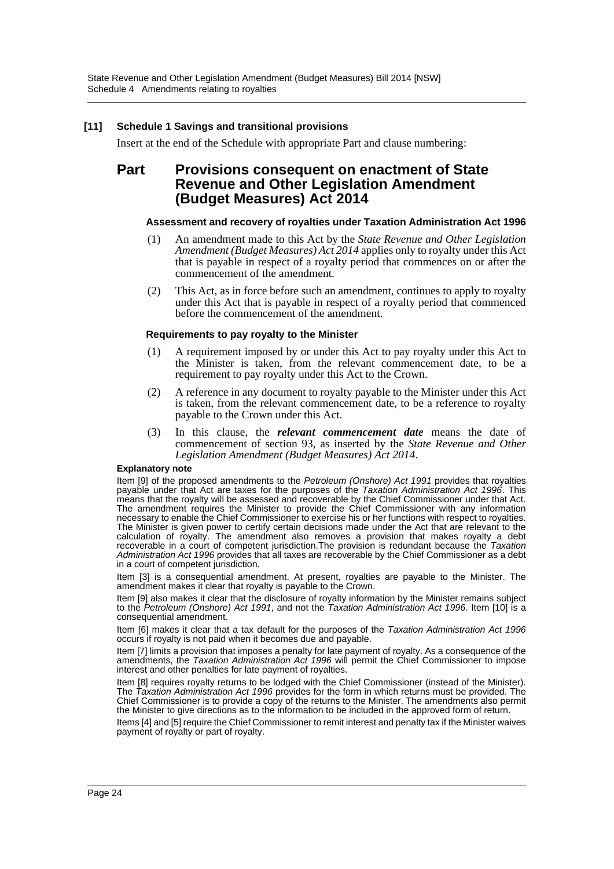#### **[11] Schedule 1 Savings and transitional provisions**

Insert at the end of the Schedule with appropriate Part and clause numbering:

## **Part Provisions consequent on enactment of State Revenue and Other Legislation Amendment (Budget Measures) Act 2014**

#### **Assessment and recovery of royalties under Taxation Administration Act 1996**

- (1) An amendment made to this Act by the *State Revenue and Other Legislation Amendment (Budget Measures) Act 2014* applies only to royalty under this Act that is payable in respect of a royalty period that commences on or after the commencement of the amendment.
- (2) This Act, as in force before such an amendment, continues to apply to royalty under this Act that is payable in respect of a royalty period that commenced before the commencement of the amendment.

#### **Requirements to pay royalty to the Minister**

- (1) A requirement imposed by or under this Act to pay royalty under this Act to the Minister is taken, from the relevant commencement date, to be a requirement to pay royalty under this Act to the Crown.
- (2) A reference in any document to royalty payable to the Minister under this Act is taken, from the relevant commencement date, to be a reference to royalty payable to the Crown under this Act.
- (3) In this clause, the *relevant commencement date* means the date of commencement of section 93, as inserted by the *State Revenue and Other Legislation Amendment (Budget Measures) Act 2014*.

#### **Explanatory note**

Item [9] of the proposed amendments to the *Petroleum (Onshore) Act 1991* provides that royalties payable under that Act are taxes for the purposes of the *Taxation Administration Act 1996*. This means that the royalty will be assessed and recoverable by the Chief Commissioner under that Act. The amendment requires the Minister to provide the Chief Commissioner with any information necessary to enable the Chief Commissioner to exercise his or her functions with respect to royalties. The Minister is given power to certify certain decisions made under the Act that are relevant to the calculation of royalty. The amendment also removes a provision that makes royalty a debt recoverable in a court of competent jurisdiction.The provision is redundant because the *Taxation Administration Act 1996* provides that all taxes are recoverable by the Chief Commissioner as a debt in a court of competent jurisdiction.

Item [3] is a consequential amendment. At present, royalties are payable to the Minister. The amendment makes it clear that royalty is payable to the Crown.

Item [9] also makes it clear that the disclosure of royalty information by the Minister remains subject to the *Petroleum (Onshore) Act 1991*, and not the *Taxation Administration Act 1996*. Item [10] is a consequential amendment.

Item [6] makes it clear that a tax default for the purposes of the *Taxation Administration Act 1996* occurs if royalty is not paid when it becomes due and payable.

Item [7] limits a provision that imposes a penalty for late payment of royalty. As a consequence of the amendments, the *Taxation Administration Act 1996* will permit the Chief Commissioner to impose interest and other penalties for late payment of royalties.

Item [8] requires royalty returns to be lodged with the Chief Commissioner (instead of the Minister). The *Taxation Administration Act 1996* provides for the form in which returns must be provided. The Chief Commissioner is to provide a copy of the returns to the Minister. The amendments also permit the Minister to give directions as to the information to be included in the approved form of return.

Items [4] and [5] require the Chief Commissioner to remit interest and penalty tax if the Minister waives payment of royalty or part of royalty.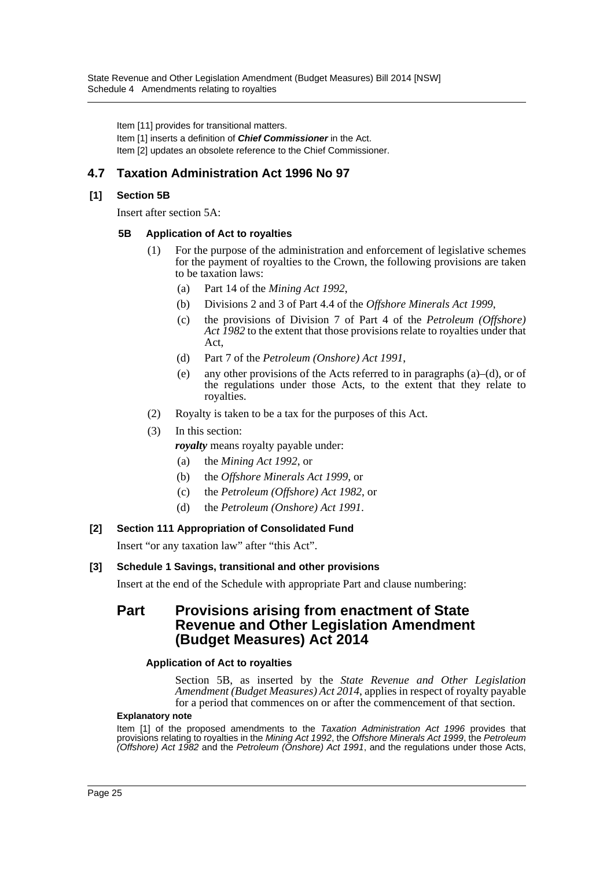Item [11] provides for transitional matters.

Item [1] inserts a definition of *Chief Commissioner* in the Act. Item [2] updates an obsolete reference to the Chief Commissioner.

## **4.7 Taxation Administration Act 1996 No 97**

#### **[1] Section 5B**

Insert after section 5A:

#### **5B Application of Act to royalties**

- (1) For the purpose of the administration and enforcement of legislative schemes for the payment of royalties to the Crown, the following provisions are taken to be taxation laws:
	- (a) Part 14 of the *Mining Act 1992*,
	- (b) Divisions 2 and 3 of Part 4.4 of the *Offshore Minerals Act 1999*,
	- (c) the provisions of Division 7 of Part 4 of the *Petroleum (Offshore) Act 1982* to the extent that those provisions relate to royalties under that Act,
	- (d) Part 7 of the *Petroleum (Onshore) Act 1991*,
	- (e) any other provisions of the Acts referred to in paragraphs  $(a)$ –(d), or of the regulations under those Acts, to the extent that they relate to royalties.
- (2) Royalty is taken to be a tax for the purposes of this Act.
- (3) In this section:

*royalty* means royalty payable under:

- (a) the *Mining Act 1992*, or
- (b) the *Offshore Minerals Act 1999*, or
- (c) the *Petroleum (Offshore) Act 1982*, or
- (d) the *Petroleum (Onshore) Act 1991*.

#### **[2] Section 111 Appropriation of Consolidated Fund**

Insert "or any taxation law" after "this Act".

#### **[3] Schedule 1 Savings, transitional and other provisions**

Insert at the end of the Schedule with appropriate Part and clause numbering:

## **Part Provisions arising from enactment of State Revenue and Other Legislation Amendment (Budget Measures) Act 2014**

#### **Application of Act to royalties**

Section 5B, as inserted by the *State Revenue and Other Legislation Amendment (Budget Measures) Act 2014*, applies in respect of royalty payable for a period that commences on or after the commencement of that section.

#### **Explanatory note**

Item [1] of the proposed amendments to the *Taxation Administration Act 1996* provides that provisions relating to royalties in the *Mining Act 1992*, the *Offshore Minerals Act 1999*, the *Petroleum (Offshore) Act 1982* and the *Petroleum (Onshore) Act 1991*, and the regulations under those Acts,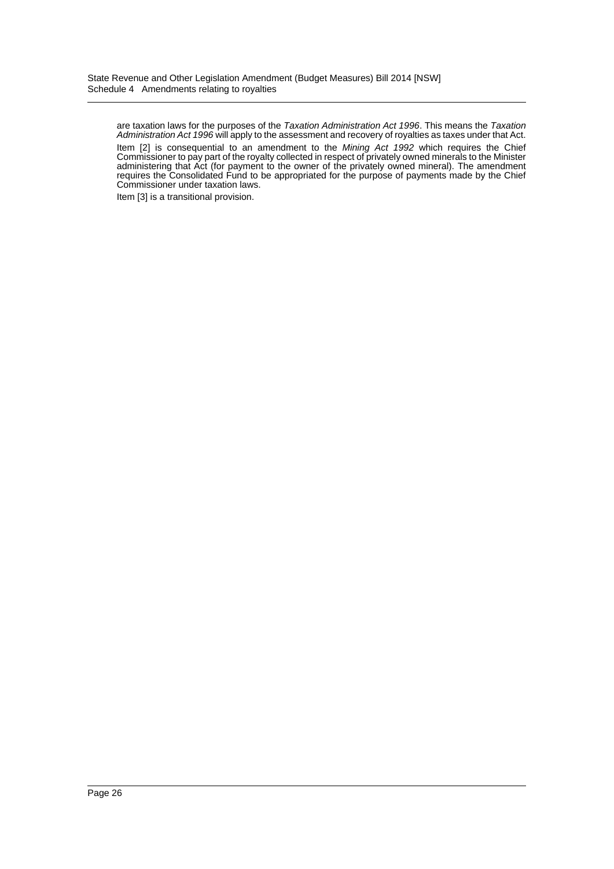are taxation laws for the purposes of the *Taxation Administration Act 1996*. This means the *Taxation Administration Act 1996* will apply to the assessment and recovery of royalties as taxes under that Act. Item [2] is consequential to an amendment to the *Mining Act 1992* which requires the Chief Commissioner to pay part of the royalty collected in respect of privately owned minerals to the Minister administering that Act (for payment to the owner of the privately owned mineral). The amendment requires the Consolidated Fund to be appropriated for the purpose of payments made by the Chief Commissioner under taxation laws.

Item [3] is a transitional provision.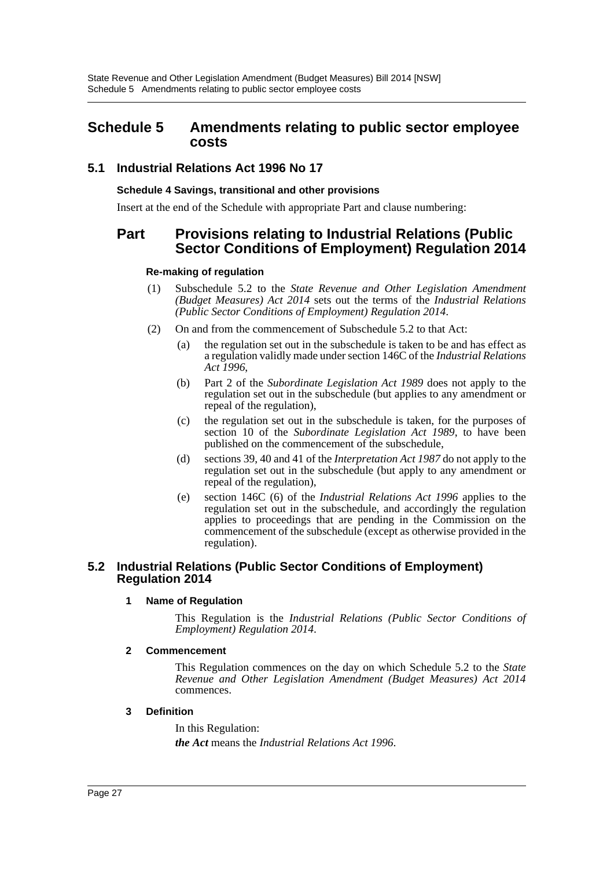## <span id="page-27-0"></span>**Schedule 5 Amendments relating to public sector employee costs**

## **5.1 Industrial Relations Act 1996 No 17**

#### **Schedule 4 Savings, transitional and other provisions**

Insert at the end of the Schedule with appropriate Part and clause numbering:

## **Part Provisions relating to Industrial Relations (Public Sector Conditions of Employment) Regulation 2014**

#### **Re-making of regulation**

- (1) Subschedule 5.2 to the *State Revenue and Other Legislation Amendment (Budget Measures) Act 2014* sets out the terms of the *Industrial Relations (Public Sector Conditions of Employment) Regulation 2014*.
- (2) On and from the commencement of Subschedule 5.2 to that Act:
	- (a) the regulation set out in the subschedule is taken to be and has effect as a regulation validly made under section 146C of the *Industrial Relations Act 1996*,
	- (b) Part 2 of the *Subordinate Legislation Act 1989* does not apply to the regulation set out in the subschedule (but applies to any amendment or repeal of the regulation),
	- (c) the regulation set out in the subschedule is taken, for the purposes of section 10 of the *Subordinate Legislation Act 1989*, to have been published on the commencement of the subschedule,
	- (d) sections 39, 40 and 41 of the *Interpretation Act 1987* do not apply to the regulation set out in the subschedule (but apply to any amendment or repeal of the regulation),
	- (e) section 146C (6) of the *Industrial Relations Act 1996* applies to the regulation set out in the subschedule, and accordingly the regulation applies to proceedings that are pending in the Commission on the commencement of the subschedule (except as otherwise provided in the regulation).

#### **5.2 Industrial Relations (Public Sector Conditions of Employment) Regulation 2014**

#### **1 Name of Regulation**

This Regulation is the *Industrial Relations (Public Sector Conditions of Employment) Regulation 2014*.

#### **2 Commencement**

This Regulation commences on the day on which Schedule 5.2 to the *State Revenue and Other Legislation Amendment (Budget Measures) Act 2014* commences.

#### **3 Definition**

In this Regulation: *the Act* means the *Industrial Relations Act 1996*.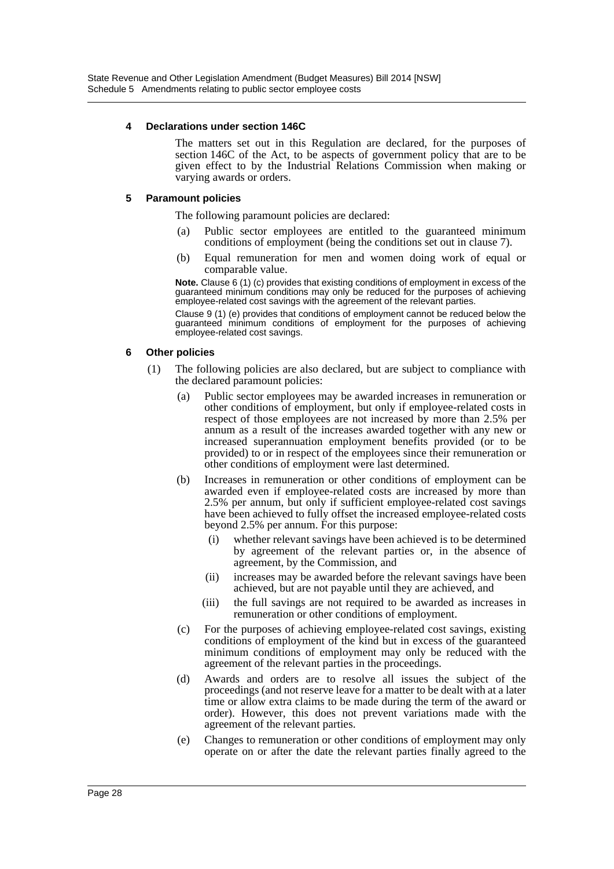#### **4 Declarations under section 146C**

The matters set out in this Regulation are declared, for the purposes of section 146C of the Act, to be aspects of government policy that are to be given effect to by the Industrial Relations Commission when making or varying awards or orders.

#### **5 Paramount policies**

The following paramount policies are declared:

- (a) Public sector employees are entitled to the guaranteed minimum conditions of employment (being the conditions set out in clause 7).
- (b) Equal remuneration for men and women doing work of equal or comparable value.

**Note.** Clause 6 (1) (c) provides that existing conditions of employment in excess of the guaranteed minimum conditions may only be reduced for the purposes of achieving employee-related cost savings with the agreement of the relevant parties.

Clause 9 (1) (e) provides that conditions of employment cannot be reduced below the guaranteed minimum conditions of employment for the purposes of achieving employee-related cost savings.

#### **6 Other policies**

- (1) The following policies are also declared, but are subject to compliance with the declared paramount policies:
	- (a) Public sector employees may be awarded increases in remuneration or other conditions of employment, but only if employee-related costs in respect of those employees are not increased by more than 2.5% per annum as a result of the increases awarded together with any new or increased superannuation employment benefits provided (or to be provided) to or in respect of the employees since their remuneration or other conditions of employment were last determined.
	- (b) Increases in remuneration or other conditions of employment can be awarded even if employee-related costs are increased by more than 2.5% per annum, but only if sufficient employee-related cost savings have been achieved to fully offset the increased employee-related costs beyond 2.5% per annum. For this purpose:
		- (i) whether relevant savings have been achieved is to be determined by agreement of the relevant parties or, in the absence of agreement, by the Commission, and
		- (ii) increases may be awarded before the relevant savings have been achieved, but are not payable until they are achieved, and
		- (iii) the full savings are not required to be awarded as increases in remuneration or other conditions of employment.
	- (c) For the purposes of achieving employee-related cost savings, existing conditions of employment of the kind but in excess of the guaranteed minimum conditions of employment may only be reduced with the agreement of the relevant parties in the proceedings.
	- (d) Awards and orders are to resolve all issues the subject of the proceedings (and not reserve leave for a matter to be dealt with at a later time or allow extra claims to be made during the term of the award or order). However, this does not prevent variations made with the agreement of the relevant parties.
	- (e) Changes to remuneration or other conditions of employment may only operate on or after the date the relevant parties finally agreed to the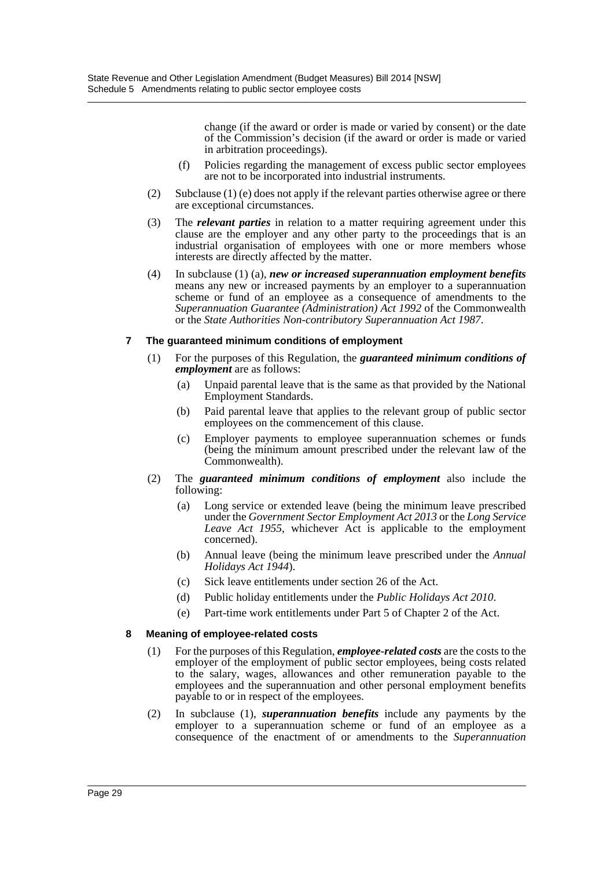change (if the award or order is made or varied by consent) or the date of the Commission's decision (if the award or order is made or varied in arbitration proceedings).

- (f) Policies regarding the management of excess public sector employees are not to be incorporated into industrial instruments.
- (2) Subclause (1) (e) does not apply if the relevant parties otherwise agree or there are exceptional circumstances.
- (3) The *relevant parties* in relation to a matter requiring agreement under this clause are the employer and any other party to the proceedings that is an industrial organisation of employees with one or more members whose interests are directly affected by the matter.
- (4) In subclause (1) (a), *new or increased superannuation employment benefits* means any new or increased payments by an employer to a superannuation scheme or fund of an employee as a consequence of amendments to the *Superannuation Guarantee (Administration) Act 1992* of the Commonwealth or the *State Authorities Non-contributory Superannuation Act 1987*.

#### **7 The guaranteed minimum conditions of employment**

- (1) For the purposes of this Regulation, the *guaranteed minimum conditions of employment* are as follows:
	- (a) Unpaid parental leave that is the same as that provided by the National Employment Standards.
	- (b) Paid parental leave that applies to the relevant group of public sector employees on the commencement of this clause.
	- (c) Employer payments to employee superannuation schemes or funds (being the minimum amount prescribed under the relevant law of the Commonwealth).
- (2) The *guaranteed minimum conditions of employment* also include the following:
	- (a) Long service or extended leave (being the minimum leave prescribed under the *Government Sector Employment Act 2013* or the *Long Service Leave Act 1955*, whichever Act is applicable to the employment concerned).
	- (b) Annual leave (being the minimum leave prescribed under the *Annual Holidays Act 1944*).
	- (c) Sick leave entitlements under section 26 of the Act.
	- (d) Public holiday entitlements under the *Public Holidays Act 2010*.
	- (e) Part-time work entitlements under Part 5 of Chapter 2 of the Act.

#### **8 Meaning of employee-related costs**

- (1) For the purposes of this Regulation, *employee-related costs* are the costs to the employer of the employment of public sector employees, being costs related to the salary, wages, allowances and other remuneration payable to the employees and the superannuation and other personal employment benefits payable to or in respect of the employees.
- (2) In subclause (1), *superannuation benefits* include any payments by the employer to a superannuation scheme or fund of an employee as a consequence of the enactment of or amendments to the *Superannuation*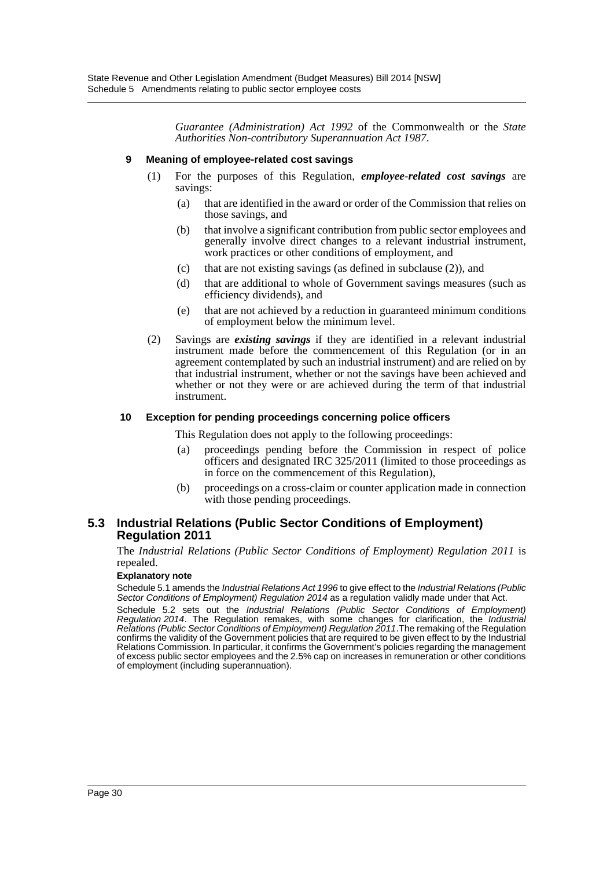*Guarantee (Administration) Act 1992* of the Commonwealth or the *State Authorities Non-contributory Superannuation Act 1987*.

#### **9 Meaning of employee-related cost savings**

- (1) For the purposes of this Regulation, *employee-related cost savings* are savings:
	- (a) that are identified in the award or order of the Commission that relies on those savings, and
	- (b) that involve a significant contribution from public sector employees and generally involve direct changes to a relevant industrial instrument, work practices or other conditions of employment, and
	- (c) that are not existing savings (as defined in subclause (2)), and
	- (d) that are additional to whole of Government savings measures (such as efficiency dividends), and
	- (e) that are not achieved by a reduction in guaranteed minimum conditions of employment below the minimum level.
- (2) Savings are *existing savings* if they are identified in a relevant industrial instrument made before the commencement of this Regulation (or in an agreement contemplated by such an industrial instrument) and are relied on by that industrial instrument, whether or not the savings have been achieved and whether or not they were or are achieved during the term of that industrial instrument.

#### **10 Exception for pending proceedings concerning police officers**

This Regulation does not apply to the following proceedings:

- (a) proceedings pending before the Commission in respect of police officers and designated IRC 325/2011 (limited to those proceedings as in force on the commencement of this Regulation),
- (b) proceedings on a cross-claim or counter application made in connection with those pending proceedings.

#### **5.3 Industrial Relations (Public Sector Conditions of Employment) Regulation 2011**

The *Industrial Relations (Public Sector Conditions of Employment) Regulation 2011* is repealed.

#### **Explanatory note**

Schedule 5.1 amends the *Industrial Relations Act 1996* to give effect to the *Industrial Relations (Public Sector Conditions of Employment) Regulation 2014* as a regulation validly made under that Act.

Schedule 5.2 sets out the *Industrial Relations (Public Sector Conditions of Employment) Regulation 2014*. The Regulation remakes, with some changes for clarification, the *Industrial Relations (Public Sector Conditions of Employment) Regulation 2011*.The remaking of the Regulation confirms the validity of the Government policies that are required to be given effect to by the Industrial Relations Commission. In particular, it confirms the Government's policies regarding the management of excess public sector employees and the 2.5% cap on increases in remuneration or other conditions of employment (including superannuation).